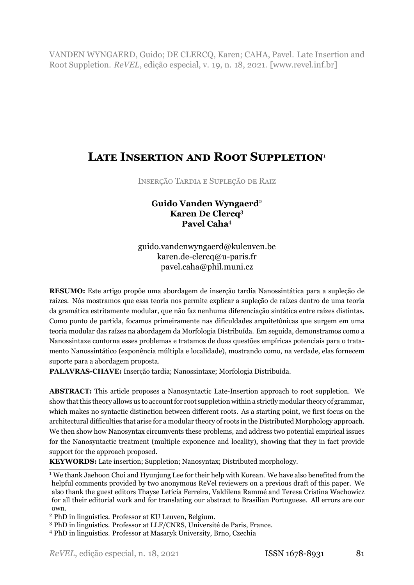VANDEN WYNGAERD, Guido; DE CLERCQ, Karen; CAHA, Pavel. Late Insertion and Root Suppletion. *ReVEL*, edição especial, v. 19, n. 18, 2021. [www.revel.inf.br]

# **LATE INSERTION AND ROOT SUPPLETION**1

INSERÇÃO TARDIA E SUPLEÇÃO DE RAIZ

# **Guido Vanden Wyngaerd**2 **Karen De Clercq**3 **Pavel Caha**4

guido.vandenwyngaerd@kuleuven.be karen.de-clercq@u-paris.fr pavel.caha@phil.muni.cz

**RESUMO:** Este artigo propõe uma abordagem de inserção tardia Nanossintática para a supleção de raízes. Nós mostramos que essa teoria nos permite explicar a supleção de raízes dentro de uma teoria da gramática estritamente modular, que não faz nenhuma diferenciação sintática entre raízes distintas. Como ponto de partida, focamos primeiramente nas dificuldades arquitetônicas que surgem em uma teoria modular das raízes na abordagem da Morfologia Distribuída. Em seguida, demonstramos como a Nanossintaxe contorna esses problemas e tratamos de duas questões empíricas potenciais para o tratamento Nanossintático (exponência múltipla e localidade), mostrando como, na verdade, elas fornecem suporte para a abordagem proposta.

PALAVRAS-CHAVE: Inserção tardia: Nanossintaxe: Morfologia Distribuída.

**ABSTRACT:** This article proposes a Nanosyntactic Late-Insertion approach to root suppletion. We show that this theory allows us to account for root suppletion within a strictly modular theory of grammar, which makes no syntactic distinction between different roots. As a starting point, we first focus on the architectural difficulties that arise for a modular theory of roots in the Distributed Morphology approach. We then show how Nanosyntax circumvents these problems, and address two potential empirical issues for the Nanosyntactic treatment (multiple exponence and locality), showing that they in fact provide support for the approach proposed.

**KEYWORDS:** Late insertion; Suppletion; Nanosyntax; Distributed morphology.

<sup>&</sup>lt;sup>1</sup> We thank Jaehoon Choi and Hyunjung Lee for their help with Korean. We have also benefited from the helpful comments provided by two anonymous ReVel reviewers on a previous draft of this paper. We also thank the guest editors Thayse Letícia Ferreira, Valdilena Rammé and Teresa Cristina Wachowicz for all their editorial work and for translating our abstract to Brasilian Portuguese. All errors are our own.

<sup>2</sup> PhD in linguistics. Professor at KU Leuven, Belgium.

<sup>3</sup> PhD in linguistics. Professor at LLF/CNRS, Université de Paris, France.

<sup>4</sup> PhD in linguistics. Professor at Masaryk University, Brno, Czechia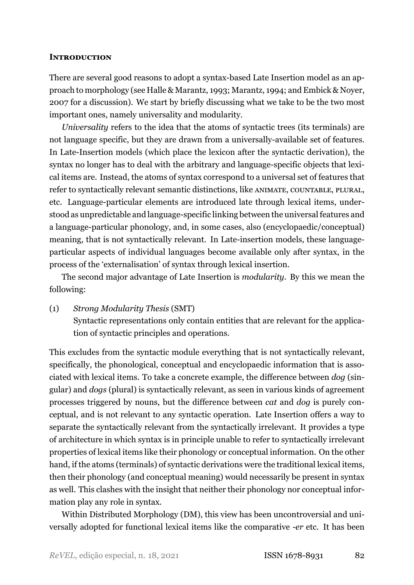### **INTRODUCTION**

There are several good reasons to adopt a syntax-based Late Insertion model as an approach to morphology (see Halle & Marantz, [1993;](#page-40-0) Marantz, [1994](#page-40-1); and Embick & Noyer, [2007](#page-39-0) for a discussion). We start by briefly discussing what we take to be the two most important ones, namely universality and modularity.

*Universality* refers to the idea that the atoms of syntactic trees (its terminals) are not language specific, but they are drawn from a universally-available set of features. In Late-Insertion models (which place the lexicon after the syntactic derivation), the syntax no longer has to deal with the arbitrary and language-specific objects that lexical items are. Instead, the atoms of syntax correspond to a universal set of features that refer to syntactically relevant semantic distinctions, like ANIMATE, COUNTABLE, PLURAL, etc. Language-particular elements are introduced late through lexical items, understood as unpredictable and language-specific linking between the universal features and a language-particular phonology, and, in some cases, also (encyclopaedic/conceptual) meaning, that is not syntactically relevant. In Late-insertion models, these languageparticular aspects of individual languages become available only after syntax, in the process of the 'externalisation' of syntax through lexical insertion.

The second major advantage of Late Insertion is *modularity*. By this we mean the following:

(1) *Strong Modularity Thesis* (SMT) Syntactic representations only contain entities that are relevant for the application of syntactic principles and operations.

This excludes from the syntactic module everything that is not syntactically relevant, specifically, the phonological, conceptual and encyclopaedic information that is associated with lexical items. To take a concrete example, the difference between *dog* (singular) and *dogs* (plural) is syntactically relevant, as seen in various kinds of agreement processes triggered by nouns, but the difference between *cat* and *dog* is purely conceptual, and is not relevant to any syntactic operation. Late Insertion offers a way to separate the syntactically relevant from the syntactically irrelevant. It provides a type of architecture in which syntax is in principle unable to refer to syntactically irrelevant properties of lexical items like their phonology or conceptual information. On the other hand, if the atoms (terminals) of syntactic derivations were the traditional lexical items, then their phonology (and conceptual meaning) would necessarily be present in syntax as well. This clashes with the insight that neither their phonology nor conceptual information play any role in syntax.

Within Distributed Morphology (DM), this view has been uncontroversial and universally adopted for functional lexical items like the comparative *er* etc. It has been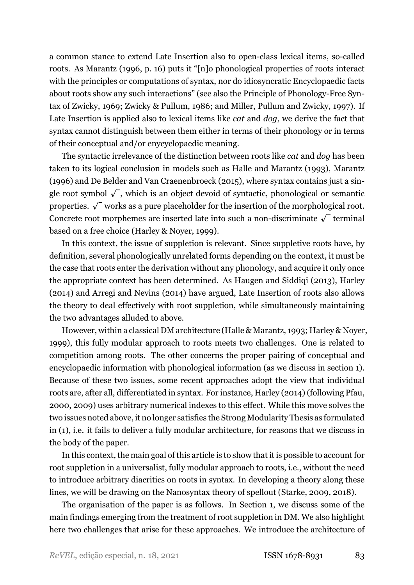a common stance to extend Late Insertion also to open-class lexical items, so-called roots. As [Marantz](#page-40-2) ([1996](#page-40-2), p. 16) puts it "[n]o phonological properties of roots interact with the principles or computations of syntax, nor do idiosyncratic Encyclopaedic facts about roots show any such interactions" (see also the Principle of Phonology-Free Syntax of Zwicky, [1969;](#page-42-0) Zwicky & Pullum, [1986](#page-42-1); and Miller, Pullum and Zwicky, [1997\)](#page-41-0). If Late Insertion is applied also to lexical items like *cat* and *dog*, we derive the fact that syntax cannot distinguish between them either in terms of their phonology or in terms of their conceptual and/or enycyclopaedic meaning.

The syntactic irrelevance of the distinction between roots like *cat* and *dog* has been taken to its logical conclusion in models such as [Halle and Marantz](#page-40-0) ([1993](#page-40-0)), [Marantz](#page-40-2) [\(1996\)](#page-40-2) and [De Belder and Van Craenenbroeck](#page-39-1) [\(2015\)](#page-39-1), where syntax contains just a single root symbol  $\sqrt{\ }$ , which is an object devoid of syntactic, phonological or semantic properties.  $\sqrt{\ }$  works as a pure placeholder for the insertion of the morphological root. Concrete root morphemes are inserted late into such a non-discriminate  $\sqrt{\ }$  terminal based on a free choice (Harley & Noyer, [1999](#page-40-3)).

In this context, the issue of suppletion is relevant. Since suppletive roots have, by definition, several phonologically unrelated forms depending on the context, it must be the case that roots enter the derivation without any phonology, and acquire it only once the appropriate context has been determined. As [Haugen and Siddiqi](#page-40-4) [\(2013](#page-40-4)), [Harley](#page-40-5) [\(2014](#page-40-5)) and [Arregi and Nevins](#page-38-0) ([2014](#page-38-0)) have argued, Late Insertion of roots also allows the theory to deal effectively with root suppletion, while simultaneously maintaining the two advantages alluded to above.

However, within a classical DM architecture (Halle & Marantz, [1993;](#page-40-0) Harley & Noyer, [1999](#page-40-3)), this fully modular approach to roots meets two challenges. One is related to competition among roots. The other concerns the proper pairing of conceptual and encyclopaedic information with phonological information (as we discuss in section [1\)](#page-3-0). Because of these two issues, some recent approaches adopt the view that individual roots are, after all, differentiated in syntax. For instance, [Harley](#page-40-5) ([2014\)](#page-40-5) (following [Pfau](#page-41-1), [2000,](#page-41-1) [2009\)](#page-41-2) uses arbitrary numerical indexes to this effect. While this move solves the two issues noted above, it no longer satisfies the Strong Modularity Thesis as formulated in (1), i.e. it fails to deliver a fully modular architecture, for reasons that we discuss in the body of the paper.

In this context, the main goal of this article is to show that it is possible to account for root suppletion in a universalist, fully modular approach to roots, i.e., without the need to introduce arbitrary diacritics on roots in syntax. In developing a theory along these lines, we will be drawing on the Nanosyntax theory of spellout([Starke,](#page-41-3) [2009,](#page-41-3) [2018](#page-41-4)).

The organisation of the paper is as follows. In Section [1,](#page-3-0) we discuss some of the main findings emerging from the treatment of root suppletion in DM. We also highlight here two challenges that arise for these approaches. We introduce the architecture of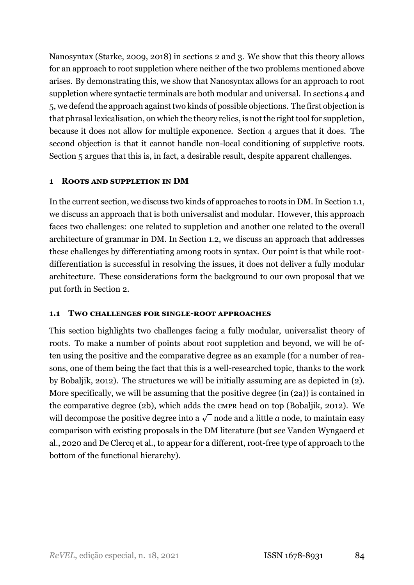Nanosyntax [\(Starke](#page-41-3), [2009,](#page-41-3) [2018](#page-41-4)) in sections [2](#page-10-0) and [3](#page-13-0). We show that this theory allows for an approach to root suppletion where neither of the two problems mentioned above arises. By demonstrating this, we show that Nanosyntax allows for an approach to root suppletion where syntactic terminals are both modular and universal. In sections [4](#page-19-0) and [5](#page-24-0), we defend the approach against two kinds of possible objections. The first objection is that phrasal lexicalisation, on which the theory relies, is not the right tool for suppletion, because it does not allow for multiple exponence. Section [4](#page-19-0) argues that it does. The second objection is that it cannot handle non-local conditioning of suppletive roots. Section [5](#page-24-0) argues that this is, in fact, a desirable result, despite apparent challenges.

# <span id="page-3-0"></span>**1 ROOTS AND SUPPLETION IN DM**

In the current section, we discuss two kinds of approaches to roots in DM. In Section [1.1](#page-3-1), we discuss an approach that is both universalist and modular. However, this approach faces two challenges: one related to suppletion and another one related to the overall architecture of grammar in DM. In Section [1.2,](#page-8-0) we discuss an approach that addresses these challenges by differentiating among roots in syntax. Our point is that while rootdifferentiation is successful in resolving the issues, it does not deliver a fully modular architecture. These considerations form the background to our own proposal that we put forth in Section [2.](#page-10-0)

## <span id="page-3-1"></span>**1.1 TWO CHALLENGES FOR SINGLEROOT APPROACHES**

This section highlights two challenges facing a fully modular, universalist theory of roots. To make a number of points about root suppletion and beyond, we will be often using the positive and the comparative degree as an example (for a number of reasons, one of them being the fact that this is a well-researched topic, thanks to the work by [Bobaljik](#page-39-2), [2012\)](#page-39-2). The structures we will be initially assuming are as depicted in (2). More specifically, we will be assuming that the positive degree (in (2a)) is contained in the comparative degree (2b), which adds the CMPR head on top([Bobaljik](#page-39-2), [2012](#page-39-2)). We will decompose the positive degree into a  $\sqrt{\ }$  node and a little  $a$  node, to maintain easy comparison with existing proposals in the DM literature (but see Vanden Wyngaerd et al., [2020](#page-42-2) and De Clercq et al., [to appear](#page-39-3) for a different, root-free type of approach to the bottom of the functional hierarchy).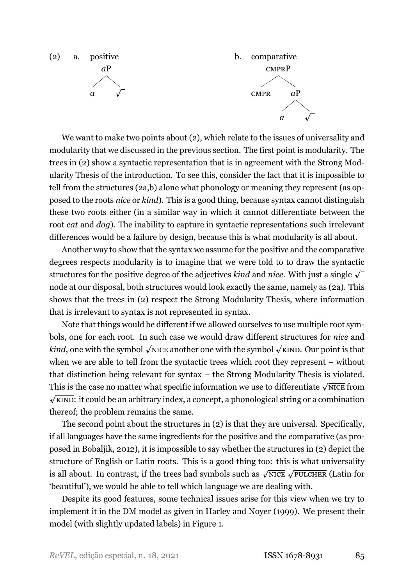<span id="page-4-0"></span>

We want to make two points about (2), which relate to the issues of universality and modularity that we discussed in the previous section. The first point is modularity. The trees in (2) show a syntactic representation that is in agreement with the Strong Modularity Thesis of the introduction. To see this, consider the fact that it is impossible to tell from the structures (2a,b) alone what phonology or meaning they represent (as opposed to the roots *nice* or *kind*). This is a good thing, because syntax cannot distinguish these two roots either (in a similar way in which it cannot differentiate between the root *cat* and *dog*). The inability to capture in syntactic representations such irrelevant differences would be a failure by design, because this is what modularity is all about.

Another way to show that the syntax we assume for the positive and the comparative degrees respects modularity is to imagine that we were told to to draw the syntactic structures for the positive degree of the adjectives *kind* and *nice*. With just a single  $\sqrt{\ }$ node at our disposal, both structures would look exactly the same, namely as (2a). This shows that the trees in (2) respect the Strong Modularity Thesis, where information that is irrelevant to syntax is not represented in syntax.

Note that things would be different if we allowed ourselves to use multiple root symbols, one for each root. In such case we would draw different structures for *nice* and *kind*, one with the symbol  $\sqrt{\text{NICE}}$  another one with the symbol  $\sqrt{\text{KIND}}$ . Our point is that when we are able to tell from the syntactic trees which root they represent – without that distinction being relevant for syntax – the Strong Modularity Thesis is violated. This is the case no matter what specific information we use to differentiate  $\sqrt{\text{NICE}}$  from *p* KIND: it could be an arbitrary index, a concept, a phonological string or a combination thereof; the problem remains the same.

The second point about the structures in (2) is that they are universal. Specifically, if all languages have the same ingredients for the positive and the comparative (as proposed in [Bobaljik,](#page-39-2) [2012\)](#page-39-2), it is impossible to say whether the structures in (2) depict the structure of English or Latin roots. This is a good thing too: this is what universality is all about. In contrast, if the trees had symbols such as  $\sqrt{\text{NICE}}$   $\sqrt{\text{PULCHER}}}$  (Latin for 'beautiful'), we would be able to tell which language we are dealing with.

Despite its good features, some technical issues arise for this view when we try to implement it in the DM model as given in [Harley and Noyer](#page-40-3) ([1999](#page-40-3)). We present their model (with slightly updated labels) in Figure [1.](#page-5-0)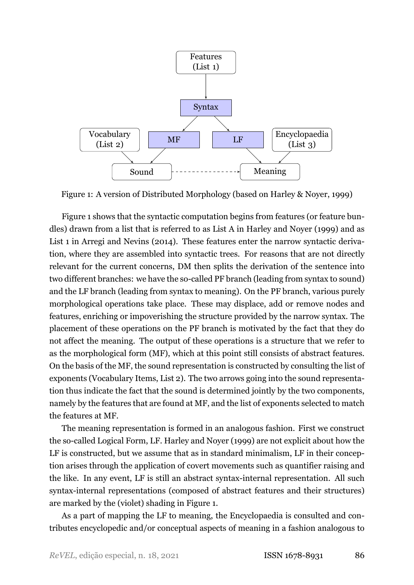

<span id="page-5-0"></span>Figure 1: A version of Distributed Morphology (based on Harley & Noyer, [1999\)](#page-40-3)

Figure [1](#page-5-0) shows that the syntactic computation begins from features (or feature bundles) drawn from a list that is referred to as List A in [Harley and Noyer](#page-40-3) ([1999](#page-40-3)) and as List 1 in [Arregi and Nevins](#page-38-0) ([2014](#page-38-0)). These features enter the narrow syntactic derivation, where they are assembled into syntactic trees. For reasons that are not directly relevant for the current concerns, DM then splits the derivation of the sentence into two different branches: we have the so-called PF branch (leading from syntax to sound) and the LF branch (leading from syntax to meaning). On the PF branch, various purely morphological operations take place. These may displace, add or remove nodes and features, enriching or impoverishing the structure provided by the narrow syntax. The placement of these operations on the PF branch is motivated by the fact that they do not affect the meaning. The output of these operations is a structure that we refer to as the morphological form (MF), which at this point still consists of abstract features. On the basis of the MF, the sound representation is constructed by consulting the list of exponents (Vocabulary Items, List 2). The two arrows going into the sound representation thus indicate the fact that the sound is determined jointly by the two components, namely by the features that are found at MF, and the list of exponents selected to match the features at MF.

The meaning representation is formed in an analogous fashion. First we construct the so-called Logical Form, LF. [Harley and Noyer](#page-40-3) [\(1999\)](#page-40-3) are not explicit about how the LF is constructed, but we assume that as in standard minimalism, LF in their conception arises through the application of covert movements such as quantifier raising and the like. In any event, LF is still an abstract syntax-internal representation. All such syntax-internal representations (composed of abstract features and their structures) are marked by the (violet) shading in Figure [1](#page-5-0).

As a part of mapping the LF to meaning, the Encyclopaedia is consulted and contributes encyclopedic and/or conceptual aspects of meaning in a fashion analogous to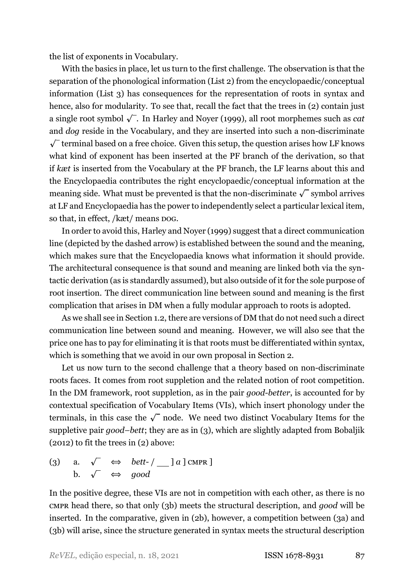the list of exponents in Vocabulary.

With the basics in place, let us turn to the first challenge. The observation is that the separation of the phonological information (List 2) from the encyclopaedic/conceptual information (List 3) has consequences for the representation of roots in syntax and hence, also for modularity. To see that, recall the fact that the trees in  $(2)$  contain just a single root symbol *p* . In [Harley and Noyer](#page-40-3) ([1999](#page-40-3)), all root morphemes such as *cat* and *dog* reside in the Vocabulary, and they are inserted into such a non-discriminate  $\sqrt{\ }$  terminal based on a free choice. Given this setup, the question arises how LF knows what kind of exponent has been inserted at the PF branch of the derivation, so that if *kæt* is inserted from the Vocabulary at the PF branch, the LF learns about this and the Encyclopaedia contributes the right encyclopaedic/conceptual information at the meaning side. What must be prevented is that the non-discriminate  $\sqrt{\ }$  symbol arrives at LF and Encyclopaedia has the power to independently select a particular lexical item, so that, in effect, /kæt/ means DOG.

In order to avoid this, [Harley and Noyer](#page-40-3) ([1999](#page-40-3)) suggest that a direct communication line (depicted by the dashed arrow) is established between the sound and the meaning, which makes sure that the Encyclopaedia knows what information it should provide. The architectural consequence is that sound and meaning are linked both via the syntactic derivation (as is standardly assumed), but also outside of it for the sole purpose of root insertion. The direct communication line between sound and meaning is the first complication that arises in DM when a fully modular approach to roots is adopted.

As we shall see in Section [1.2,](#page-8-0) there are versions of DM that do not need such a direct communication line between sound and meaning. However, we will also see that the price one has to pay for eliminating it is that roots must be differentiated within syntax, which is something that we avoid in our own proposal in Section [2.](#page-10-0)

Let us now turn to the second challenge that a theory based on non-discriminate roots faces. It comes from root suppletion and the related notion of root competition. In the DM framework, root suppletion, as in the pair *good-better*, is accounted for by contextual specification of Vocabulary Items (VIs), which insert phonology under the terminals, in this case the  $\sqrt{\ }$  node. We need two distinct Vocabulary Items for the suppletive pair *good–bett*; they are as in (3), which are slightly adapted from [Bobaljik](#page-39-2) [\(2012](#page-39-2)) to fit the trees in [\(2\)](#page-4-0) above:

<span id="page-6-2"></span><span id="page-6-1"></span><span id="page-6-0"></span>(3) a.  $\sqrt{\leftrightarrow} \quad \text{bett-}/\underline{\hspace{1cm}} a \, ] \, \text{c} \text{MPR} \, ]$ b.  $\sqrt{\phantom{0}} \Leftrightarrow \text{good}$ 

In the positive degree, these VIs are not in competition with each other, as there is no CMPR head there, so that only (3b) meets the structural description, and *good* will be inserted. In the comparative, given in (2b), however, a competition between (3a) and (3b) will arise, since the structure generated in syntax meets the structural description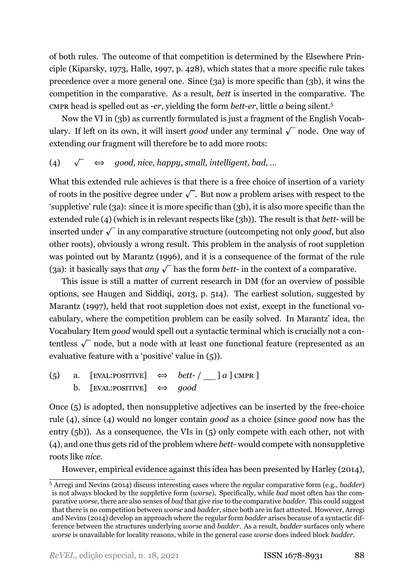of both rules. The outcome of that competition is determined by the Elsewhere Principle [\(Kiparsky](#page-40-6), [1973](#page-40-6), [Halle,](#page-40-7) [1997](#page-40-7), p. 428), which states that a more specific rule takes precedence over a more general one. Since (3a) is more specific than (3b), it wins the competition in the comparative. As a result, *bett* is inserted in the comparative. The cmpress head is spelled out as *-er*, yielding the form *bett-er*, little *a* being silent.<sup>5</sup>

Now the VI in (3b) as currently formulated is just a fragment of the English Vocabulary. If left on its own, it will insert *good* under any terminal  $\sqrt{\ }$  node. One way of extending our fragment will therefore be to add more roots:

# <span id="page-7-0"></span>(4)  $\sqrt{\phantom{a}} \Leftrightarrow$  *good, nice, happy, small, intelligent, bad, ...*

What this extended rule achieves is that there is a free choice of insertion of a variety of roots in the positive degree under  $\sqrt{\ }$ . But now a problem arises with respect to the 'suppletive' rule [\(3a\)](#page-6-0): since it is more specific than [\(3b\),](#page-6-1) it is also more specific than the extended rule (4) (which is in relevant respects like [\(3b\)](#page-6-1)). The result is that *bett*-will be inserted under  $\sqrt{\ }$  in any comparative structure (outcompeting not only  $good,$  but also other roots), obviously a wrong result. This problem in the analysis of root suppletion was pointed out by [Marantz](#page-40-2) [\(1996\)](#page-40-2), and it is a consequence of the format of the rule [\(3a\)](#page-6-0): it basically says that *any*  $\sqrt{\ }$  has the form *bett*- in the context of a comparative.

This issue is still a matter of current research in DM (for an overview of possible options, see [Haugen and Siddiqi](#page-40-4), [2013,](#page-40-4) p. 514). The earliest solution, suggested by [Marantz](#page-41-5) ([1997](#page-41-5)), held that root suppletion does not exist, except in the functional vocabulary, where the competition problem can be easily solved. In Marantz' idea, the Vocabulary Item *good* would spell out a syntactic terminal which is crucially not a contentless  $\sqrt{\phantom{a}}$  node, but a node with at least one functional feature (represented as an evaluative feature with a 'positive' value in (5)).

(5) a. [EVAL:POSITIVE] *⇔ bett* / ] *a* ] CMPR ] b. [EVAL:POSITIVE] *⇔ good*

Once  $(5)$  is adopted, then nonsuppletive adjectives can be inserted by the free-choice rule [\(4\)](#page-7-0), since [\(4\)](#page-7-0) would no longer contain *good* as a choice (since *good* now has the entry (5b)). As a consequence, the VIs in (5) only compete with each other, not with [\(4\),](#page-7-0) and one thus gets rid of the problem where *bett* would compete with nonsuppletive roots like *nice*.

However, empirical evidence against this idea has been presented by [Harley](#page-40-5) ([2014\)](#page-40-5),

<sup>5</sup> [Arregi and Nevins](#page-38-0) [\(2014\)](#page-38-0) discuss interesting cases where the regular comparative form (e.g., *badder*) is not always blocked by the suppletive form (*worse*). Specifically, while *bad* most often has the comparative *worse*, there are also senses of *bad* that give rise to the comparative *badder*. This could suggest that there is no competition between *worse* and *badder*, since both are in fact attested. However, [Arregi](#page-38-0) [and Nevins](#page-38-0) ([2014\)](#page-38-0) develop an approach where the regular form *badder* arises because of a syntactic difference between the structures underlying *worse* and *badder*. As a result, *badder* surfaces only where *worse* is unavailable for locality reasons, while in the general case *worse* does indeed block *badder*.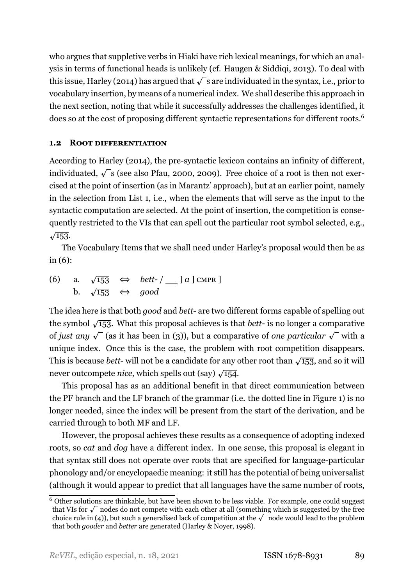who argues that suppletive verbs in Hiaki have rich lexical meanings, for which an analysis in terms of functional heads is unlikely (cf. Haugen & Siddiqi, [2013\)](#page-40-4). To deal with this issue, [Harley](#page-40-5) [\(2014](#page-40-5)) has argued that  $\sqrt{\ }$  s are individuated in the syntax, i.e., prior to vocabulary insertion, by means of a numerical index. We shall describe this approach in the next section, noting that while it successfully addresses the challenges identified, it does so at the cost of proposing different syntactic representations for different roots.6

## <span id="page-8-0"></span>**1.2 ROOT DIFFERENTIATION**

According to [Harley](#page-40-5) [\(2014](#page-40-5)), the pre-syntactic lexicon contains an infinity of different, individuated, *p* s (see also [Pfau](#page-41-1), [2000,](#page-41-1) [2009\)](#page-41-2). Free choice of a root is then not exercised at the point of insertion (as in Marantz' approach), but at an earlier point, namely in the selection from List 1, i.e., when the elements that will serve as the input to the syntactic computation are selected. At the point of insertion, the competition is consequently restricted to the VIs that can spell out the particular root symbol selected, e.g.,  $\sqrt{153}$ .

The Vocabulary Items that we shall need under Harley's proposal would then be as in (6):

(6) a.  $\sqrt{153}$  ⇔ *bett-* / \_ ] *a* ] CMPR ] b.  $\sqrt{153}$  ⇔ *good* 

The idea here is that both *good* and *bett* are two different forms capable of spelling out the symbol  $\sqrt{153}$ . What this proposal achieves is that *bett*- is no longer a comparative of *just any*  $\sqrt{\ }$  (as it has been in [\(3\)\)](#page-6-2), but a comparative of *one particular*  $\sqrt{\ }$  with a unique index. Once this is the case, the problem with root competition disappears. This is because *bett*-will not be a candidate for any other root than  $\sqrt{153}$ , and so it will never outcompete *nice*, which spells out (say)  $\sqrt{154}$ .

This proposal has as an additional benefit in that direct communication between the PF branch and the LF branch of the grammar (i.e. the dotted line in Figure [1\)](#page-5-0) is no longer needed, since the index will be present from the start of the derivation, and be carried through to both MF and LF.

However, the proposal achieves these results as a consequence of adopting indexed roots, so *cat* and *dog* have a different index. In one sense, this proposal is elegant in that syntax still does not operate over roots that are specified for language-particular phonology and/or encyclopaedic meaning: it still has the potential of being universalist (although it would appear to predict that all languages have the same number of roots,

<sup>6</sup> Other solutions are thinkable, but have been shown to be less viable. For example, one could suggest that VIs for  $\sqrt{\ }$  nodes do not compete with each other at all (something which is suggested by the free choice rule in [\(4\)](#page-7-0)), but such a generalised lack of competition at the  $\sqrt{\ }$  node would lead to the problem that both *gooder* and *better* are generated (Harley & Noyer, [1998\)](#page-40-8).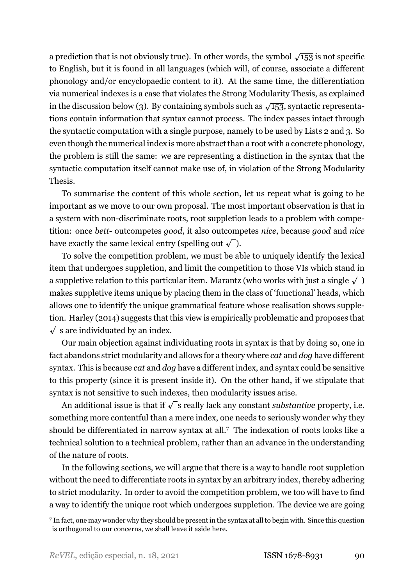a prediction that is not obviously true). In other words, the symbol  $\sqrt{153}$  is not specific to English, but it is found in all languages (which will, of course, associate a different phonology and/or encyclopaedic content to it). At the same time, the differentiation via numerical indexes is a case that violates the Strong Modularity Thesis, as explained in the discussion below [\(3\)](#page-6-2). By containing symbols such as  $\sqrt{153}$ , syntactic representations contain information that syntax cannot process. The index passes intact through the syntactic computation with a single purpose, namely to be used by Lists 2 and 3. So even though the numerical index is more abstract than a root with a concrete phonology, the problem is still the same: we are representing a distinction in the syntax that the syntactic computation itself cannot make use of, in violation of the Strong Modularity Thesis.

To summarise the content of this whole section, let us repeat what is going to be important as we move to our own proposal. The most important observation is that in a system with non-discriminate roots, root suppletion leads to a problem with competition: once *bett* outcompetes *good*, it also outcompetes *nice*, because *good* and *nice* have exactly the same lexical entry (spelling out  $\sqrt{\ }$  ).

To solve the competition problem, we must be able to uniquely identify the lexical item that undergoes suppletion, and limit the competition to those VIs which stand in a suppletive relation to this particular item. Marantz (who works with just a single  $\sqrt{\phantom{a}}$ makes suppletive items unique by placing them in the class of 'functional' heads, which allows one to identify the unique grammatical feature whose realisation shows suppletion. [Harley](#page-40-5) [\(2014](#page-40-5)) suggests that this view is empirically problematic and proposes that  $\sqrt{\ }$ s are individuated by an index.

Our main objection against individuating roots in syntax is that by doing so, one in fact abandons strict modularity and allows for a theory where *cat* and *dog* have different syntax. This is because *cat* and *dog* have a different index, and syntax could be sensitive to this property (since it is present inside it). On the other hand, if we stipulate that syntax is not sensitive to such indexes, then modularity issues arise.

An additional issue is that if  $\sqrt{\ }$ s really lack any constant *substantive* property, i.e. something more contentful than a mere index, one needs to seriously wonder why they should be differentiated in narrow syntax at all.7 The indexation of roots looks like a technical solution to a technical problem, rather than an advance in the understanding of the nature of roots.

In the following sections, we will argue that there is a way to handle root suppletion without the need to differentiate roots in syntax by an arbitrary index, thereby adhering to strict modularity. In order to avoid the competition problem, we too will have to find a way to identify the unique root which undergoes suppletion. The device we are going

<sup>7</sup> In fact, one may wonder why they should be present in the syntax at all to begin with. Since this question is orthogonal to our concerns, we shall leave it aside here.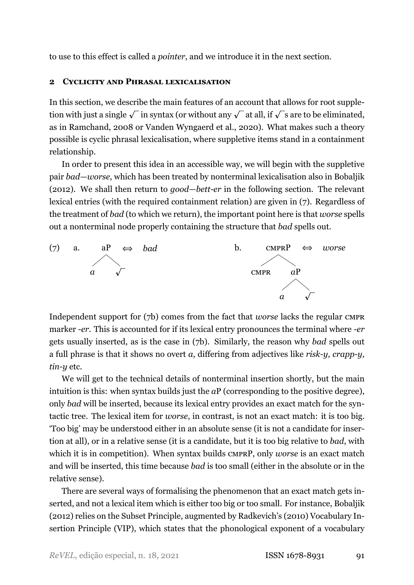<span id="page-10-0"></span>to use to this effect is called a *pointer*, and we introduce it in the next section.

#### **2 CYCLICITY AND PHRASAL LEXICALISATION**

In this section, we describe the main features of an account that allows for root suppletion with just a single  $\sqrt{\phantom{a}}$  in syntax (or without any  $\sqrt{\phantom{a}}$  at all, if  $\sqrt{\phantom{a}}$  s are to be eliminated, as in [Ramchand](#page-41-6), [2008](#page-41-6) or [Vanden Wyngaerd et al.,](#page-42-2) [2020](#page-42-2)). What makes such a theory possible is cyclic phrasal lexicalisation, where suppletive items stand in a containment relationship.

In order to present this idea in an accessible way, we will begin with the suppletive pair *bad*—*worse*, which has been treated by nonterminal lexicalisation also in [Bobaljik](#page-39-2) [\(2012](#page-39-2)). We shall then return to *good—bett-er* in the following section. The relevant lexical entries (with the required containment relation) are given in (7). Regardless of the treatment of *bad* (to which we return), the important point here is that *worse* spells out a nonterminal node properly containing the structure that *bad* spells out.



<span id="page-10-1"></span>Independent support for (7b) comes from the fact that *worse* lacks the regular CMPR marker *er*. This is accounted for if its lexical entry pronounces the terminal where *er* gets usually inserted, as is the case in (7b). Similarly, the reason why *bad* spells out a full phrase is that it shows no overt *a*, differing from adjectives like *risk-y*, *crapp-y*, *tin-y* etc.

We will get to the technical details of nonterminal insertion shortly, but the main intuition is this: when syntax builds just the *aP* (corresponding to the positive degree), only *bad* will be inserted, because its lexical entry provides an exact match for the syntactic tree. The lexical item for *worse*, in contrast, is not an exact match: it is too big. 'Too big' may be understood either in an absolute sense (it is not a candidate for insertion at all), or in a relative sense (it is a candidate, but it is too big relative to *bad*, with which it is in competition). When syntax builds CMPRP, only *worse* is an exact match and will be inserted, this time because *bad* is too small (either in the absolute or in the relative sense).

There are several ways of formalising the phenomenon that an exact match gets inserted, and not a lexical item which is either too big or too small. For instance, [Bobaljik](#page-39-2) [\(2012](#page-39-2)) relies on the Subset Principle, augmented by Radkevich's([2010](#page-41-7)) Vocabulary Insertion Principle (VIP), which states that the phonological exponent of a vocabulary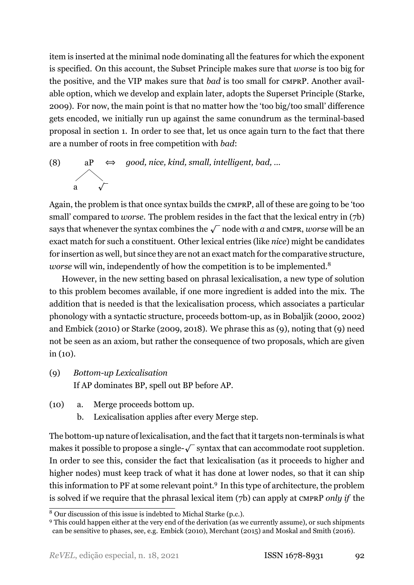item is inserted at the minimal node dominating all the features for which the exponent is specified. On this account, the Subset Principle makes sure that *worse* is too big for the positive, and the VIP makes sure that *bad* is too small for CMPRP. Another available option, which we develop and explain later, adopts the Superset Principle [\(Starke](#page-41-3), [2009\)](#page-41-3). For now, the main point is that no matter how the 'too big/too small' difference gets encoded, we initially run up against the same conundrum as the terminalbased proposal in section [1](#page-3-0). In order to see that, let us once again turn to the fact that there are a number of roots in free competition with *bad*:

(8) aP  $\alpha$   $\sqrt{ }$ *⇔ good, nice, kind, small, intelligent, bad, …*

Again, the problem is that once syntax builds the CMPRP, all of these are going to be 'too small' compared to *worse*. The problem resides in the fact that the lexical entry in (7b) says that whenever the syntax combines the  $\sqrt{\phantom{a}}$  node with *a* and cmpr, *worse* will be an exact match for such a constituent. Other lexical entries (like *nice*) might be candidates for insertion as well, but since they are not an exact match for the comparative structure, *worse* will win, independently of how the competition is to be implemented.<sup>8</sup>

However, in the new setting based on phrasal lexicalisation, a new type of solution to this problem becomes available, if one more ingredient is added into the mix. The addition that is needed is that the lexicalisation process, which associates a particular phonology with a syntactic structure, proceeds bottom-up, as in [Bobaljik](#page-39-4) [\(2000](#page-39-4), [2002\)](#page-39-5) and [Embick](#page-39-6) [\(2010\)](#page-39-6) or [Starke](#page-41-3) [\(2009](#page-41-3), [2018\)](#page-41-4). We phrase this as (9), noting that (9) need not be seen as an axiom, but rather the consequence of two proposals, which are given  $in (10)$ .

- (9) *Bottomup Lexicalisation* If AP dominates BP, spell out BP before AP.
- (10) a. Merge proceeds bottom up.
	- b. Lexicalisation applies after every Merge step.

The bottom-up nature of lexicalisation, and the fact that it targets non-terminals is what makes it possible to propose a single- $\sqrt{\ }$  syntax that can accommodate root suppletion. In order to see this, consider the fact that lexicalisation (as it proceeds to higher and higher nodes) must keep track of what it has done at lower nodes, so that it can ship this information to PF at some relevant point.<sup>9</sup> In this type of architecture, the problem is solved if we require that the phrasal lexical item [\(7b\)](#page-10-1) can apply at CMPRP *only if* the

<sup>8</sup> Our discussion of this issue is indebted to Michal Starke (p.c.).

<sup>&</sup>lt;sup>9</sup> This could happen either at the very end of the derivation (as we currently assume), or such shipments can be sensitive to phases, see, e.g. [Embick](#page-39-6) [\(2010](#page-39-6)), [Merchant](#page-41-8) [\(2015](#page-41-8)) and [Moskal and Smith](#page-41-9) ([2016](#page-41-9)).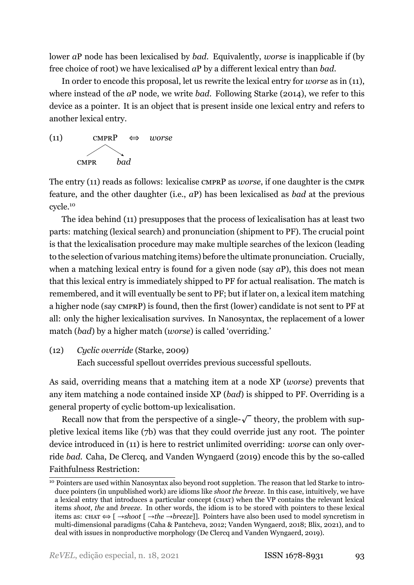lower *a*P node has been lexicalised by *bad*. Equivalently, *worse* is inapplicable if (by free choice of root) we have lexicalised *a*P by a different lexical entry than *bad*.

In order to encode this proposal, let us rewrite the lexical entry for *worse* as in (11), where instead of the *a*P node, we write *bad*. Following [Starke](#page-42-3) [\(2014](#page-42-3)), we refer to this device as a pointer. It is an object that is present inside one lexical entry and refers to another lexical entry.



The entry (11) reads as follows: lexicalise CMPRP as *worse*, if one daughter is the CMPR feature, and the other daughter (i.e., *a*P) has been lexicalised as *bad* at the previous cycle.10

The idea behind (11) presupposes that the process of lexicalisation has at least two parts: matching (lexical search) and pronunciation (shipment to PF). The crucial point is that the lexicalisation procedure may make multiple searches of the lexicon (leading to the selection of various matching items) before the ultimate pronunciation. Crucially, when a matching lexical entry is found for a given node (say *a*P), this does not mean that this lexical entry is immediately shipped to PF for actual realisation. The match is remembered, and it will eventually be sent to PF; but if later on, a lexical item matching a higher node (say CMPRP) is found, then the first (lower) candidate is not sent to PF at all: only the higher lexicalisation survives. In Nanosyntax, the replacement of a lower match (*bad*) by a higher match (*worse*) is called 'overriding.'

(12) *Cyclic override* ([Starke,](#page-41-3) [2009\)](#page-41-3)

Each successful spellout overrides previous successful spellouts.

As said, overriding means that a matching item at a node XP (*worse*) prevents that any item matching a node contained inside XP (*bad*) is shipped to PF. Overriding is a general property of cyclic bottom-up lexicalisation.

Recall now that from the perspective of a single- $\sqrt{\ }$  theory, the problem with suppletive lexical items like [\(7b\)](#page-10-1) was that they could override just any root. The pointer device introduced in (11) is here to restrict unlimited overriding: *worse* can only override *bad*. [Caha, De Clercq, and Vanden Wyngaerd](#page-39-7) [\(2019](#page-39-7)) encode this by the so-called Faithfulness Restriction:

<span id="page-12-0"></span><sup>&</sup>lt;sup>10</sup> Pointers are used within Nanosyntax also beyond root suppletion. The reason that led Starke to introduce pointers (in unpublished work) are idioms like *shoot the breeze*. In this case, intuitively, we have a lexical entry that introduces a particular concept (CHAT) when the VP contains the relevant lexical items *shoot*, *the* and *breeze*. In other words, the idiom is to be stored with pointers to these lexical items as: CHAT *⇔* [ *→shoot* [ *→the →breeze*]]. Pointers have also been used to model syncretism in multi-dimensional paradigms (Caha & Pantcheva, [2012;](#page-39-8) Vanden Wyngaerd, [2018;](#page-42-4) Blix, [2021](#page-38-1)), and to deal with issues in nonproductive morphology([De Clercq and Vanden Wyngaerd,](#page-39-9) [2019](#page-39-9)).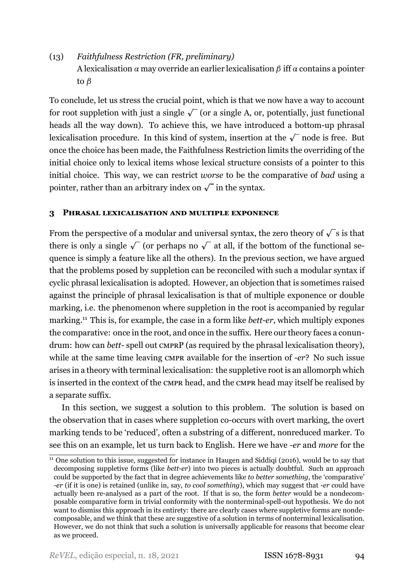# (13) *Faithfulness Restriction (FR, preliminary)* A lexicalisation *α* may override an earlier lexicalisation *β* iff *α* contains a pointer to *β*

To conclude, let us stress the crucial point, which is that we now have a way to account for root suppletion with just a single  $\sqrt{\ }$  (or a single A, or, potentially, just functional heads all the way down). To achieve this, we have introduced a bottom-up phrasal lexicalisation procedure. In this kind of system, insertion at the  $\sqrt{\phantom{a}}$  node is free. But once the choice has been made, the Faithfulness Restriction limits the overriding of the initial choice only to lexical items whose lexical structure consists of a pointer to this initial choice. This way, we can restrict *worse* to be the comparative of *bad* using a pointer, rather than an arbitrary index on  $\sqrt{\ }$  in the syntax.

#### <span id="page-13-0"></span>**3 PHRASAL LEXICALISATION AND MULTIPLE EXPONENCE**

From the perspective of a modular and universal syntax, the zero theory of  $\sqrt{\ }$ s is that there is only a single  $\sqrt{\ }$  (or perhaps no  $\sqrt{\ }$  at all, if the bottom of the functional sequence is simply a feature like all the others). In the previous section, we have argued that the problems posed by suppletion can be reconciled with such a modular syntax if cyclic phrasal lexicalisation is adopted. However, an objection that is sometimes raised against the principle of phrasal lexicalisation is that of multiple exponence or double marking, i.e. the phenomenon where suppletion in the root is accompanied by regular marking.<sup>11</sup> This is, for example, the case in a form like *bett-er*, which multiply expones the comparative: once in the root, and once in the suffix. Here our theory faces a conundrum: how can *bett*-spell out CMPRP (as required by the phrasal lexicalisation theory), while at the same time leaving CMPR available for the insertion of *er*? No such issue arises in a theory with terminal lexicalisation: the suppletive root is an allomorph which is inserted in the context of the CMPR head, and the CMPR head may itself be realised by a separate suffix.

In this section, we suggest a solution to this problem. The solution is based on the observation that in cases where suppletion co-occurs with overt marking, the overt marking tends to be 'reduced', often a substring of a different, nonreduced marker. To see this on an example, let us turn back to English. Here we have *er* and *more* for the

 $\frac{11}{11}$  One solution to this issue, suggested for instance in [Haugen and Siddiqi](#page-40-9) ([2016](#page-40-9)), would be to say that decomposing suppletive forms (like *bett-er*) into two pieces is actually doubtful. Such an approach could be supported by the fact that in degree achievements like *to better something*, the 'comparative' *er* (if it is one) is retained (unlike in, say, *to cool something*), which may suggest that *er* could have actually been re-analysed as a part of the root. If that is so, the form *better* would be a nondecomposable comparative form in trivial conformity with the nonterminal-spell-out hypothesis. We do not want to dismiss this approach in its entirety: there are clearly cases where suppletive forms are nondecomposable, and we think that these are suggestive of a solution in terms of nonterminal lexicalisation. However, we do not think that such a solution is universally applicable for reasons that become clear as we proceed.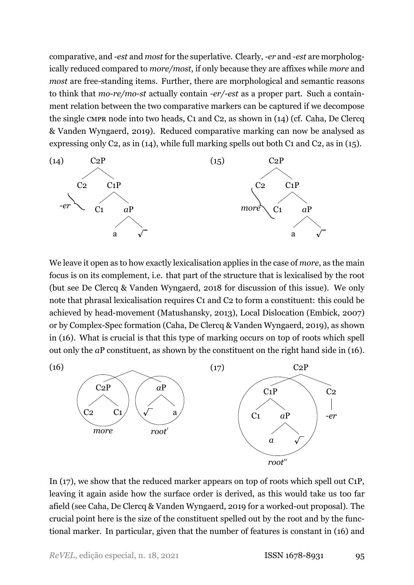comparative, and *est* and *most* for the superlative. Clearly, *er* and *est* are morphologically reduced compared to *more/most*, if only because they are affixes while *more* and *most* are free-standing items. Further, there are morphological and semantic reasons to think that *more/most* actually contain *er/est* as a proper part. Such a containment relation between the two comparative markers can be captured if we decompose the single CMPR node into two heads, C1 and C2, as shown in (14) (cf. Caha, De Clercq & Vanden Wyngaerd, [2019\)](#page-39-7). Reduced comparative marking can now be analysed as expressing only C2, as in (14), while full marking spells out both C1 and C2, as in (15).



We leave it open as to how exactly lexicalisation applies in the case of *more*, as the main focus is on its complement, i.e. that part of the structure that is lexicalised by the root (but see De Clercq & Vanden Wyngaerd, [2018](#page-39-10) for discussion of this issue). We only note that phrasal lexicalisation requires C1 and C2 to form a constituent: this could be achievedby head-movement ([Matushansky,](#page-41-10) [2013](#page-41-10)), Local Dislocation [\(Embick,](#page-39-0) [2007\)](#page-39-0) or by Complex-Spec formation (Caha, De Clercq & Vanden Wyngaerd, [2019\)](#page-39-7), as shown in (16). What is crucial is that this type of marking occurs on top of roots which spell out only the *a*P constituent, as shown by the constituent on the right hand side in (16).

<span id="page-14-0"></span>(16)



In (17), we show that the reduced marker appears on top of roots which spell out C1P, leaving it again aside how the surface order is derived, as this would take us too far afield (see Caha, De Clercq & Vanden Wyngaerd, [2019](#page-39-7) for a worked-out proposal). The crucial point here is the size of the constituent spelled out by the root and by the functional marker. In particular, given that the number of features is constant in (16) and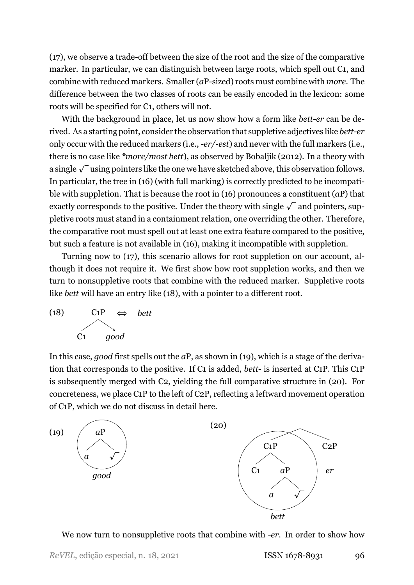$(17)$ , we observe a trade-off between the size of the root and the size of the comparative marker. In particular, we can distinguish between large roots, which spell out C1, and combine with reduced markers. Smaller (*a*P-sized) roots must combine with *more*. The difference between the two classes of roots can be easily encoded in the lexicon: some roots will be specified for C1, others will not.

With the background in place, let us now show how a form like *bett-er* can be derived. As a starting point, consider the observation that suppletive adjectives like *bett-er* only occur with the reduced markers (i.e., *-er*/*-est*) and never with the full markers (i.e., there is no case like *\*more/most bett*), as observed by [Bobaljik](#page-39-2) [\(2012](#page-39-2)). In a theory with a single  $\sqrt{\ }$  using pointers like the one we have sketched above, this observation follows. In particular, the tree in [\(16\)](#page-14-0) (with full marking) is correctly predicted to be incompatible with suppletion. That is because the root in (16) pronounces a constituent (*a*P) that exactly corresponds to the positive. Under the theory with single  $\sqrt{\ }$  and pointers, suppletive roots must stand in a containment relation, one overriding the other. Therefore, the comparative root must spell out at least one extra feature compared to the positive, but such a feature is not available in (16), making it incompatible with suppletion.

Turning now to (17), this scenario allows for root suppletion on our account, although it does not require it. We first show how root suppletion works, and then we turn to nonsuppletive roots that combine with the reduced marker. Suppletive roots like *bett* will have an entry like (18), with a pointer to a different root.



In this case, *good* first spells out the *a*P, as shown in (19), which is a stage of the derivation that corresponds to the positive. If C1 is added, *bett* is inserted at C1P. This C1P is subsequently merged with C2, yielding the full comparative structure in (20). For concreteness, we place C1P to the left of C2P, reflecting a leftward movement operation of C1P, which we do not discuss in detail here.



We now turn to nonsuppletive roots that combine with *er*. In order to show how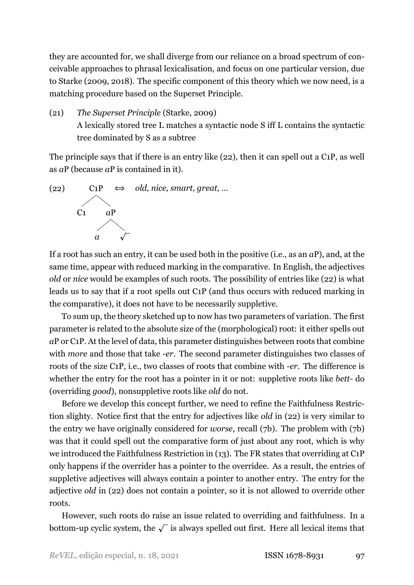they are accounted for, we shall diverge from our reliance on a broad spectrum of conceivable approaches to phrasal lexicalisation, and focus on one particular version, due to [Starke](#page-41-3) ([2009,](#page-41-3) [2018](#page-41-4)). The specific component of this theory which we now need, is a matching procedure based on the Superset Principle.

(21) *The Superset Principle* ([Starke,](#page-41-3) [2009\)](#page-41-3) A lexically stored tree L matches a syntactic node S iff L contains the syntactic tree dominated by S as a subtree

The principle says that if there is an entry like (22), then it can spell out a C1P, as well as *a*P (because *a*P is contained in it).

<span id="page-16-0"></span>

If a root has such an entry, it can be used both in the positive (i.e., as an *a*P), and, at the same time, appear with reduced marking in the comparative. In English, the adjectives *old* or *nice* would be examples of such roots. The possibility of entries like (22) is what leads us to say that if a root spells out C1P (and thus occurs with reduced marking in the comparative), it does not have to be necessarily suppletive.

To sum up, the theory sketched up to now has two parameters of variation. The first parameter is related to the absolute size of the (morphological) root: it either spells out *a*P or C1P. At the level of data, this parameter distinguishes between roots that combine with *more* and those that take *er*. The second parameter distinguishes two classes of roots of the size C1P, i.e., two classes of roots that combine with *er*. The difference is whether the entry for the root has a pointer in it or not: suppletive roots like *bett*- do (overriding *good*), nonsuppletive roots like *old* do not.

Before we develop this concept further, we need to refine the Faithfulness Restriction slighty. Notice first that the entry for adjectives like *old* in [\(22\)](#page-16-0) is very similar to the entry we have originally considered for *worse*, recall [\(7b\).](#page-10-1) The problem with [\(7b\)](#page-10-1) was that it could spell out the comparative form of just about any root, which is why we introduced the Faithfulness Restriction in [\(13\).](#page-12-0) The FR states that overriding at C1P only happens if the overrider has a pointer to the overridee. As a result, the entries of suppletive adjectives will always contain a pointer to another entry. The entry for the adjective *old* in [\(22\)](#page-16-0) does not contain a pointer, so it is not allowed to override other roots.

However, such roots do raise an issue related to overriding and faithfulness. In a bottom-up cyclic system, the  $\sqrt{\ }$  is always spelled out first. Here all lexical items that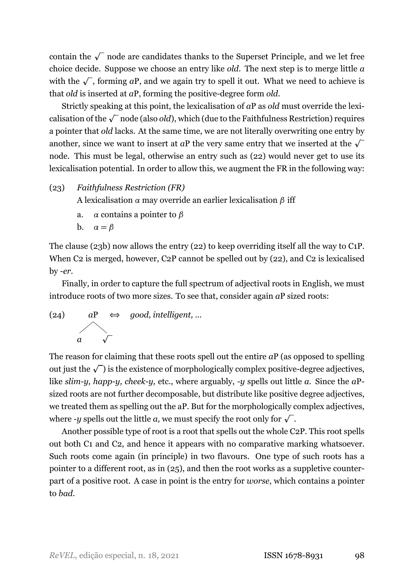contain the  $\sqrt{\ }$  node are candidates thanks to the Superset Principle, and we let free choice decide. Suppose we choose an entry like *old*. The next step is to merge little *a* with the  $\sqrt{\ }$ , forming *a*P, and we again try to spell it out. What we need to achieve is that *old* is inserted at *a*P, forming the positive-degree form *old*.

Strictly speaking at this point, the lexicalisation of *a*P as *old* must override the lexicalisation of the  $\sqrt{\ }$  node (also *old*), which (due to the Faithfulness Restriction) requires a pointer that *old* lacks. At the same time, we are not literally overwriting one entry by another, since we want to insert at *a*P the very same entry that we inserted at the  $\sqrt{\ }$ node. This must be legal, otherwise an entry such as (22) would never get to use its lexicalisation potential. In order to allow this, we augment the FR in the following way:

(23) *Faithfulness Restriction (FR)*

A lexicalisation *α* may override an earlier lexicalisation *β* iff

- a. *α* contains a pointer to *β*
- b.  $\alpha = \beta$

The clause (23b) now allows the entry (22) to keep overriding itself all the way to C1P. When C2 is merged, however, C2P cannot be spelled out by (22), and C2 is lexicalised by *er*.

Finally, in order to capture the full spectrum of adjectival roots in English, we must introduce roots of two more sizes. To see that, consider again *a*P sized roots:



The reason for claiming that these roots spell out the entire *a*P (as opposed to spelling out just the  $\sqrt{\ }$  is the existence of morphologically complex positive-degree adjectives, like *slim-y, happ-y, cheek-y, etc., where arguably, -y spells out little <i>a*. Since the *aP*sized roots are not further decomposable, but distribute like positive degree adjectives, we treated them as spelling out the aP. But for the morphologically complex adjectives, where *-y* spells out the little  $a$ , we must specify the root only for  $\sqrt{\ }$  .

Another possible type of root is a root that spells out the whole C2P. This root spells out both C1 and C2, and hence it appears with no comparative marking whatsoever. Such roots come again (in principle) in two flavours. One type of such roots has a pointer to a different root, as in (25), and then the root works as a suppletive counterpart of a positive root. A case in point is the entry for *worse*, which contains a pointer to *bad*.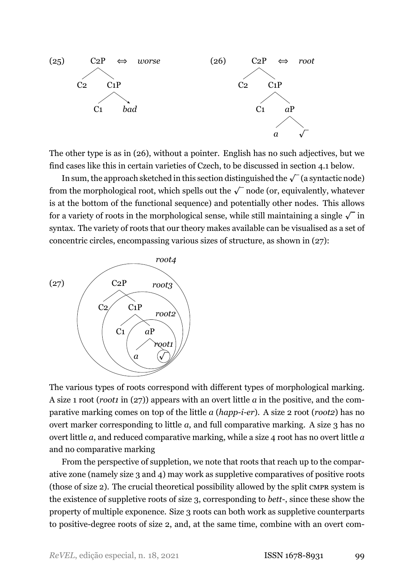

<span id="page-18-0"></span>The other type is as in (26), without a pointer. English has no such adjectives, but we find cases like this in certain varieties of Czech, to be discussed in section [4.1](#page-19-1) below.

In sum, the approach sketched in this section distinguished the  $\sqrt{\ }$  (a syntactic node) from the morphological root, which spells out the  $\sqrt{\ }$  node (or, equivalently, whatever is at the bottom of the functional sequence) and potentially other nodes. This allows for a variety of roots in the morphological sense, while still maintaining a single  $\sqrt{\ }$  in syntax. The variety of roots that our theory makes available can be visualised as a set of concentric circles, encompassing various sizes of structure, as shown in (27):



The various types of roots correspond with different types of morphological marking. A size 1 root (*root1* in (27)) appears with an overt little *a* in the positive, and the comparative marking comes on top of the little *a* (*happier*). A size 2 root (*root2*) has no overt marker corresponding to little *a*, and full comparative marking. A size 3 has no overt little *a*, and reduced comparative marking, while a size 4 root has no overt little *a* and no comparative marking

From the perspective of suppletion, we note that roots that reach up to the comparative zone (namely size 3 and 4) may work as suppletive comparatives of positive roots (those of size 2). The crucial theoretical possibility allowed by the split CMPR system is the existence of suppletive roots of size 3, corresponding to *bett*, since these show the property of multiple exponence. Size 3 roots can both work as suppletive counterparts to positive-degree roots of size 2, and, at the same time, combine with an overt com-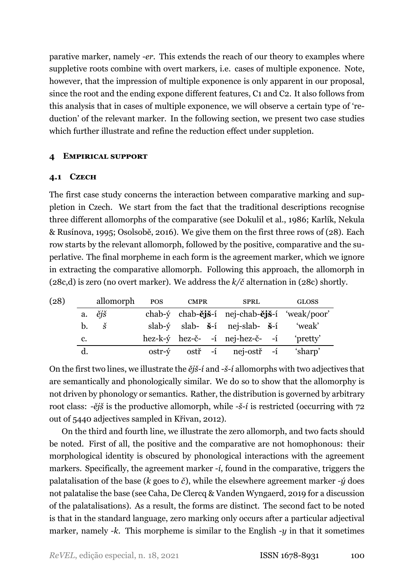parative marker, namely *er*. This extends the reach of our theory to examples where suppletive roots combine with overt markers, i.e. cases of multiple exponence. Note, however, that the impression of multiple exponence is only apparent in our proposal, since the root and the ending expone different features, C1 and C2. It also follows from this analysis that in cases of multiple exponence, we will observe a certain type of 'reduction' of the relevant marker. In the following section, we present two case studies which further illustrate and refine the reduction effect under suppletion.

### <span id="page-19-0"></span>**4 EMPIRICAL SUPPORT**

### <span id="page-19-1"></span>**4.1 CZECH**

The first case study concerns the interaction between comparative marking and suppletion in Czech. We start from the fact that the traditional descriptions recognise three different allomorphs of the comparative (see [Dokulil et al.](#page-39-11), [1986;](#page-39-11) Karlík, Nekula & Rusínova, [1995;](#page-40-10) [Osolsobě](#page-41-11), [2016](#page-41-11)). We give them on the first three rows of (28). Each row starts by the relevant allomorph, followed by the positive, comparative and the superlative. The final morpheme in each form is the agreement marker, which we ignore in extracting the comparative allomorph. Following this approach, the allomorph in (28c,d) is zero (no overt marker). We address the *k/č* alternation in (28c) shortly.

<span id="page-19-2"></span>

| (28) |             | allomorph                | <b>POS</b> | <b>CMPR</b> | <b>SPRL</b>                                               | <b>GLOSS</b> |
|------|-------------|--------------------------|------------|-------------|-----------------------------------------------------------|--------------|
|      |             | a. $\check{e}j\check{s}$ |            |             | chab-ý chab-ějš-í nej-chab-ějš-í 'weak/poor'              |              |
|      | $h_{\cdot}$ | Š                        |            |             | slab- $\dot{y}$ slab- $\dot{s}$ -í nej-slab- $\dot{s}$ -í | 'weak'       |
|      | c.          |                          |            |             | hez-k-ý hez-č- -í nej-hez-č- -í                           | 'pretty'     |
|      |             |                          | ostr-ý     |             | ostř -í nej-ostř -í                                       | 'sharp'      |

On the first two lines, we illustrate the  $\check{e}j\check{s}$ -*i* and -*š*-*i* allomorphs with two adjectives that are semantically and phonologically similar. We do so to show that the allomorphy is not driven by phonology or semantics. Rather, the distribution is governed by arbitrary root class: *-ějš* is the productive allomorph, while *-š-í* is restricted (occurring with 72 out of 5440 adjectives sampled in [Křivan](#page-40-11), [2012](#page-40-11)).

On the third and fourth line, we illustrate the zero allomorph, and two facts should be noted. First of all, the positive and the comparative are not homophonous: their morphological identity is obscured by phonological interactions with the agreement markers. Specifically, the agreement marker *í*, found in the comparative, triggers the palatalisation of the base ( $k$  goes to  $\check{c}$ ), while the elsewhere agreement marker  $-\acute{y}$  does not palatalise the base (see Caha, De Clercq & Vanden Wyngaerd, [2019](#page-39-7) for a discussion of the palatalisations). As a result, the forms are distinct. The second fact to be noted is that in the standard language, zero marking only occurs after a particular adjectival marker, namely  $-k$ . This morpheme is similar to the English  $-y$  in that it sometimes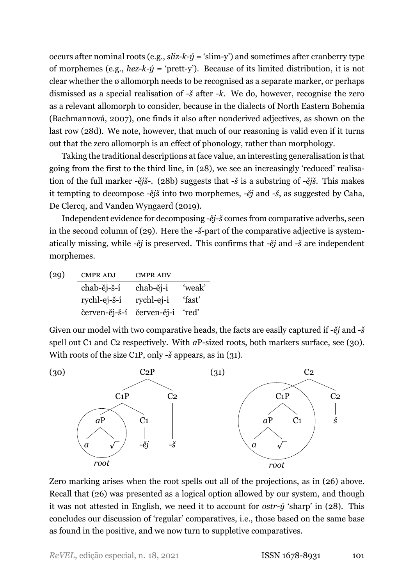occurs after nominal roots (e.g.,  $\sinh^{-1}(\theta)$  = 'slim-y') and sometimes after cranberry type of morphemes (e.g., *hez-k-* $\acute{y}$  *= 'prett-y'*). Because of its limited distribution, it is not clear whether the ø allomorph needs to be recognised as a separate marker, or perhaps dismissed as a special realisation of *š* after *k*. We do, however, recognise the zero as a relevant allomorph to consider, because in the dialects of North Eastern Bohemia [\(Bachmannová,](#page-38-2) [2007](#page-38-2)), one finds it also after nonderived adjectives, as shown on the last row (28d). We note, however, that much of our reasoning is valid even if it turns out that the zero allomorph is an effect of phonology, rather than morphology.

Taking the traditional descriptions at face value, an interesting generalisation is that going from the first to the third line, in (28), we see an increasingly 'reduced' realisation of the full marker *ějš*. (28b) suggests that *š* is a substring of *ějš*. This makes it tempting to decompose *ějš* into two morphemes, *ěj* and *š*, as suggested by [Caha,](#page-39-7) [De Clercq, and Vanden Wyngaerd](#page-39-7) ([2019\)](#page-39-7).

Independent evidence for decomposing -  $\check{e}j$ -  $\check{s}$  comes from comparative adverbs, seen in the second column of (29). Here the -*š*-part of the comparative adjective is systematically missing, while *ěj* is preserved. This confirms that *ěj* and *š* are independent morphemes.

| (29) | <b>CMPR ADJ</b>                 | <b>CMPR ADV</b> |        |
|------|---------------------------------|-----------------|--------|
|      | chab-ěj-š-í                     | chab-ěj-i       | 'weak' |
|      | rychl-ej-š-í rychl-ej-i         |                 | 'fast' |
|      | červen-ěj-š-í červen-ěj-i 'red' |                 |        |

Given our model with two comparative heads, the facts are easily captured if *ěj* and *š* spell out C1 and C2 respectively. With *a*P-sized roots, both markers surface, see (30). With roots of the size C<sub>1</sub>P, only -*š* appears, as in (31).



Zero marking arises when the root spells out all of the projections, as in [\(26\)](#page-18-0) above. Recall that [\(26\)](#page-18-0) was presented as a logical option allowed by our system, and though it was not attested in English, we need it to account for  $ostr- $\hat{y}$  'sharp' in (28). This$  $ostr- $\hat{y}$  'sharp' in (28). This$  $ostr- $\hat{y}$  'sharp' in (28). This$ concludes our discussion of 'regular' comparatives, i.e., those based on the same base as found in the positive, and we now turn to suppletive comparatives.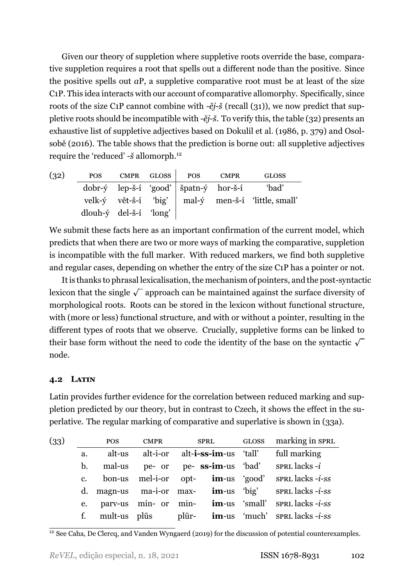Given our theory of suppletion where suppletive roots override the base, comparative suppletion requires a root that spells out a different node than the positive. Since the positive spells out *a*P, a suppletive comparative root must be at least of the size C1P. This idea interacts with our account of comparative allomorphy. Specifically, since roots of the size C<sub>1</sub>P cannot combine with  $-\check{e}j-\check{S}$  (recall (31)), we now predict that suppletive roots should be incompatible with *ějš*. To verify this, the table (32) presents an exhaustive list of suppletive adjectives based on [Dokulil et al.](#page-39-11) ([1986,](#page-39-11) p. 379) and [Osol](#page-41-11)[sobě](#page-41-11) [\(2016](#page-41-11)). The table shows that the prediction is borne out: all suppletive adjectives require the 'reduced' *š* allomorph.12

| (32) | <b>POS</b>                      | CMPR GLOSS | <b>POS</b>                                               | CMPR | <b>GLOSS</b>                                                           |
|------|---------------------------------|------------|----------------------------------------------------------|------|------------------------------------------------------------------------|
|      |                                 |            | $dobr-\hat{y}$ lep-š-í 'good'   špatn- $\hat{y}$ hor-š-í |      | 'bad'                                                                  |
|      |                                 |            |                                                          |      | velk- $\dot{y}$ vět-š-í 'big'   mal- $\dot{y}$ men-š-í 'little, small' |
|      | dlouh- $\dot{y}$ del-š-í 'long' |            |                                                          |      |                                                                        |

We submit these facts here as an important confirmation of the current model, which predicts that when there are two or more ways of marking the comparative, suppletion is incompatible with the full marker. With reduced markers, we find both suppletive and regular cases, depending on whether the entry of the size C1P has a pointer or not.

It is thanks to phrasal lexicalisation, the mechanism of pointers, and the post-syntactic lexicon that the single  $\sqrt{\ }$  approach can be maintained against the surface diversity of morphological roots. Roots can be stored in the lexicon without functional structure, with (more or less) functional structure, and with or without a pointer, resulting in the different types of roots that we observe. Crucially, suppletive forms can be linked to their base form without the need to code the identity of the base on the syntactic  $\sqrt{\ }$ node.

## **4.2 LATIN**

Latin provides further evidence for the correlation between reduced marking and suppletion predicted by our theory, but in contrast to Czech, it shows the effect in the superlative. The regular marking of comparative and superlative is shown in (33a).

<span id="page-21-0"></span>

| (33) |             | POS    | <b>CMPR</b> | SPRL                                    | GLOSS marking in SPRL                                                |
|------|-------------|--------|-------------|-----------------------------------------|----------------------------------------------------------------------|
|      | a.          | alt-us |             | alt-i-or alt- <b>i-ss-im</b> -us 'tall' | full marking                                                         |
|      | b.          |        |             | mal-us pe- or pe- ss-im-us 'bad'        | sprl lacks - <i>i</i>                                                |
|      | $c_{\cdot}$ |        |             |                                         | bon-us mel-i-or opt- $im$ -us 'good' spracellacks-i-ss               |
|      |             |        |             |                                         | d. magn-us ma-i-or max- $\mathbf{im}$ -us 'big' spracellacks-i-ss    |
|      | e.          |        |             |                                         | parv-us min- or min- <b>im</b> -us 'small' sprt lacks - <i>i</i> -ss |
|      |             |        |             |                                         | f. mult-us plus plur- $\mathbf{im}$ -us 'much' sprandlacks-i-ss      |

<sup>&</sup>lt;sup>12</sup> See [Caha, De Clercq, and Vanden Wyngaerd](#page-39-7) [\(2019\)](#page-39-7) for the discussion of potential counterexamples.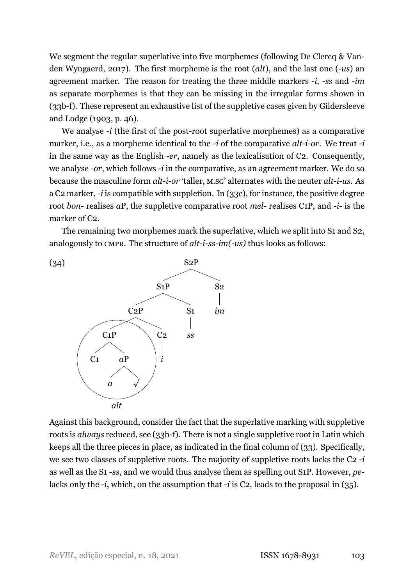We segment the regular superlative into five morphemes (following De Clercq & Vanden Wyngaerd, [2017\)](#page-39-12). The first morpheme is the root (*alt*), and the last one (*us*) an agreement marker. The reason for treating the three middle markers *-i*, *-ss* and *-im* as separate morphemes is that they can be missing in the irregular forms shown in  $(33b-f)$ . These represent an exhaustive list of the suppletive cases given by [Gildersleeve](#page-40-12) [and Lodge](#page-40-12) [\(1903](#page-40-12), p. 46).

We analyse *-i* (the first of the post-root superlative morphemes) as a comparative marker, i.e., as a morpheme identical to the *-i* of the comparative *alt-i-or*. We treat *-i* in the same way as the English *er*, namely as the lexicalisation of C2. Consequently, we analyse *-or*, which follows *-i* in the comparative, as an agreement marker. We do so because the masculine form *alt-i-or* 'taller, M.sG' alternates with the neuter *alt-i-us*. As a C2 marker, *i* is compatible with suppletion. In (33c), for instance, the positive degree root *bon*-realises *a*P, the suppletive comparative root *mel*-realises C<sub>1</sub>P, and *-i-* is the marker of C2.

The remaining two morphemes mark the superlative, which we split into S1 and S2, analogously to CMPR. The structure of *alt-i-ss-im(-us)* thus looks as follows:



Against this background, consider the fact that the superlative marking with suppletive roots is *always* reduced, see (33b-f). There is not a single suppletive root in Latin which keeps all the three pieces in place, as indicated in the final column of (33). Specifically, we see two classes of suppletive roots. The majority of suppletive roots lacks the C2 *i* as well as the S1 *ss*, and we would thus analyse them as spelling out S1P. However, *pe*lacks only the *-i*, which, on the assumption that *-i* is C2, leads to the proposal in (35).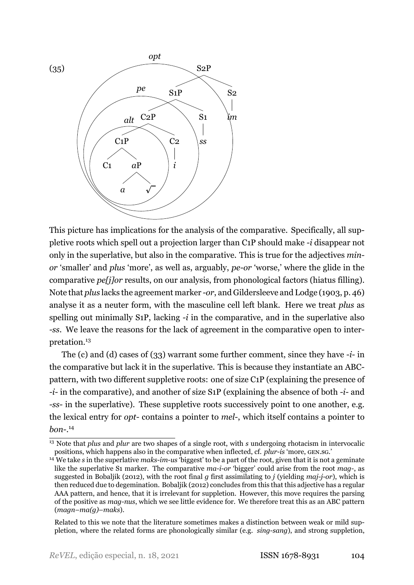

This picture has implications for the analysis of the comparative. Specifically, all suppletive roots which spell out a projection larger than C1P should make *i* disappear not only in the superlative, but also in the comparative. This is true for the adjectives *minor* 'smaller' and *plus* 'more', as well as, arguably, *pe-or* 'worse,' where the glide in the comparative *pe[j]or* results, on our analysis, from phonological factors (hiatus filling). Note that *plus* lacks the agreement marker *or*, and [Gildersleeve and Lodge](#page-40-12) [\(1903](#page-40-12), p. 46) analyse it as a neuter form, with the masculine cell left blank. Here we treat *plus* as spelling out minimally S1P, lacking *i* in the comparative, and in the superlative also *ss*. We leave the reasons for the lack of agreement in the comparative open to interpretation.<sup>13</sup>

The (c) and (d) cases of [\(33\)](#page-21-0) warrant some further comment, since they have *-i-* in the comparative but lack it in the superlative. This is because they instantiate an ABCpattern, with two different suppletive roots: one of size C1P (explaining the presence of *i*-in the comparative), and another of size S<sub>1</sub>P (explaining the absence of both *-i-* and *ss* in the superlative). These suppletive roots successively point to one another, e.g. the lexical entry for *opt*-contains a pointer to *mel*-, which itself contains a pointer to *bon*. 14

<sup>&</sup>lt;sup>13</sup> Note that *plus* and *plur* are two shapes of a single root, with *s* undergoing rhotacism in intervocalic positions, which happens also in the comparative when inflected, cf. *plur-is* 'more, GEN.SG.'

<sup>&</sup>lt;sup>14</sup> We take *s* in the superlative *maks-im-us* 'biggest' to be a part of the root, given that it is not a geminate like the superlative S1 marker. The comparative *ma-i-or* 'bigger' could arise from the root *mag-*, as suggested in [Bobaljik](#page-39-2) ([2012](#page-39-2)), with the root final *g* first assimilating to *j* (yielding *maj-j-or*), which is then reduced due to degemination. [Bobaljik](#page-39-2) [\(2012\)](#page-39-2) concludes from this that this adjective has a regular AAA pattern, and hence, that it is irrelevant for suppletion. However, this move requires the parsing of the positive as *mag-nus*, which we see little evidence for. We therefore treat this as an ABC pattern (*magn*–*ma(g)*–*maks*).

Related to this we note that the literature sometimes makes a distinction between weak or mild suppletion, where the related forms are phonologically similar (e.g. *sing-sang*), and strong suppletion,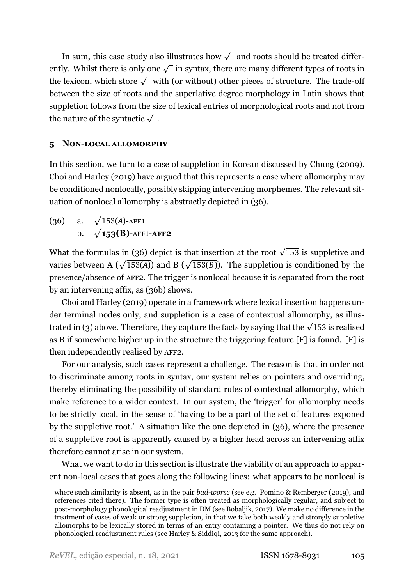In sum, this case study also illustrates how  $\sqrt{\ }$  and roots should be treated differently. Whilst there is only one  $\sqrt{\ }$  in syntax, there are many different types of roots in the lexicon, which store  $\sqrt{\ }$  with (or without) other pieces of structure. The trade-off between the size of roots and the superlative degree morphology in Latin shows that suppletion follows from the size of lexical entries of morphological roots and not from the nature of the syntactic  $\sqrt{\ }$ .

# <span id="page-24-0"></span>**5** NON-LOCAL ALLOMORPHY

In this section, we turn to a case of suppletion in Korean discussed by [Chung](#page-39-13) ([2009\)](#page-39-13). [Choi and Harley](#page-39-14) [\(2019](#page-39-14)) have argued that this represents a case where allomorphy may be conditioned nonlocally, possibly skipping intervening morphemes. The relevant situation of nonlocal allomorphy is abstractly depicted in (36).

(36) a.  $\sqrt{153(A)}$ -AFF1  $h$  $\sqrt{153(B)}$ -AFF1-**AFF2** 

What the formulas in (36) depict is that insertion at the root  $\sqrt{153}$  is suppletive and varies between A ( $\sqrt{153(A)}$ ) and B ( $\sqrt{153(B)}$ ). The suppletion is conditioned by the presence/absence of AFF2. The trigger is nonlocal because it is separated from the root by an intervening affix, as (36b) shows.

[Choi and Harley](#page-39-14) [\(2019\)](#page-39-14) operate in a framework where lexical insertion happens under terminal nodes only, and suppletion is a case of contextual allomorphy, as illus-trated in [\(3\)](#page-6-2) above. Therefore, they capture the facts by saying that the  $\sqrt{153}$  is realised as B if somewhere higher up in the structure the triggering feature [F] is found. [F] is then independently realised by AFF2.

For our analysis, such cases represent a challenge. The reason is that in order not to discriminate among roots in syntax, our system relies on pointers and overriding, thereby eliminating the possibility of standard rules of contextual allomorphy, which make reference to a wider context. In our system, the 'trigger' for allomorphy needs to be strictly local, in the sense of 'having to be a part of the set of features exponed by the suppletive root.' A situation like the one depicted in (36), where the presence of a suppletive root is apparently caused by a higher head across an intervening affix therefore cannot arise in our system.

What we want to do in this section is illustrate the viability of an approach to apparent non-local cases that goes along the following lines: what appears to be nonlocal is

wheresuch similarity is absent, as in the pair *bad-worse* (see e.g. Pomino & Remberger ([2019](#page-41-12)), and references cited there). The former type is often treated as morphologically regular, and subject to post-morphology phonological readjustment in DM (see [Bobaljik,](#page-39-15) [2017\)](#page-39-15). We make no difference in the treatment of cases of weak or strong suppletion, in that we take both weakly and strongly suppletive allomorphs to be lexically stored in terms of an entry containing a pointer. We thus do not rely on phonological readjustment rules (see Harley & Siddiqi, [2013](#page-40-4) for the same approach).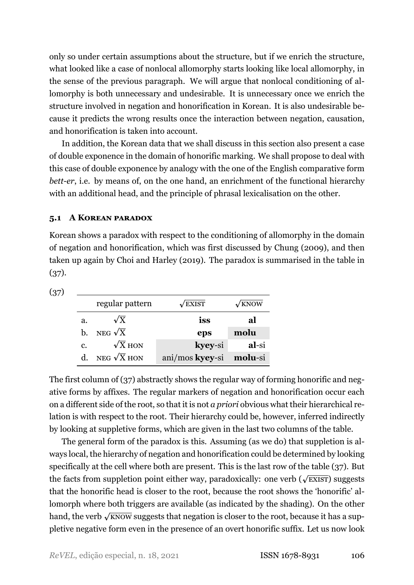only so under certain assumptions about the structure, but if we enrich the structure, what looked like a case of nonlocal allomorphy starts looking like local allomorphy, in the sense of the previous paragraph. We will argue that nonlocal conditioning of allomorphy is both unnecessary and undesirable. It is unnecessary once we enrich the structure involved in negation and honorification in Korean. It is also undesirable because it predicts the wrong results once the interaction between negation, causation, and honorification is taken into account.

In addition, the Korean data that we shall discuss in this section also present a case of double exponence in the domain of honorific marking. We shall propose to deal with this case of double exponence by analogy with the one of the English comparative form *bett-er*, *i.e.* by means of, on the one hand, an enrichment of the functional hierarchy with an additional head, and the principle of phrasal lexicalisation on the other.

#### <span id="page-25-1"></span>**5.1 A KOREAN PARADOX**

Korean shows a paradox with respect to the conditioning of allomorphy in the domain of negation and honorification, which was first discussed by [Chung](#page-39-13) [\(2009\)](#page-39-13), and then taken up again by [Choi and Harley](#page-39-14) [\(2019](#page-39-14)). The paradox is summarised in the table in (37).

<span id="page-25-0"></span>(37)

|    | regular pattern    | $\sqrt{\text{EXIST}}$   | $\sqrt{k}$ NOW |
|----|--------------------|-------------------------|----------------|
| a. | $\sqrt{X}$         | iss                     | al             |
| b. | NEG $\sqrt{X}$     | eps                     | molu           |
| c. | $\sqrt{X}$ HON     | kyey-si                 | al-si          |
|    | NEG $\sqrt{X}$ HON | ani/mos kyey-si molu-si |                |

The first column of (37) abstractly shows the regular way of forming honorific and negative forms by affixes. The regular markers of negation and honorification occur each on a different side of the root, so that it is not *a priori* obvious what their hierarchical relation is with respect to the root. Their hierarchy could be, however, inferred indirectly by looking at suppletive forms, which are given in the last two columns of the table.

The general form of the paradox is this. Assuming (as we do) that suppletion is always local, the hierarchy of negation and honorification could be determined by looking specifically at the cell where both are present. This is the last row of the table (37). But the facts from suppletion point either way, paradoxically: one verb ( $\sqrt{\text{ex}}$ IST) suggests that the honorific head is closer to the root, because the root shows the 'honorific' allomorph where both triggers are available (as indicated by the shading). On the other hand, the verb  $\sqrt{\mathrm{KNOW}}$  suggests that negation is closer to the root, because it has a suppletive negative form even in the presence of an overt honorific suffix. Let us now look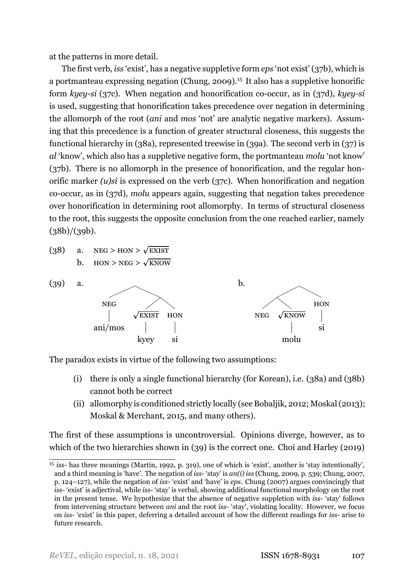at the patterns in more detail.

The first verb, *iss* 'exist', has a negative suppletive form *eps* 'not exist' (37b), which is a portmanteau expressing negation [\(Chung,](#page-39-13) [2009](#page-39-13)).15 It also has a suppletive honorific form *kyey-si* (37c). When negation and honorification co-occur, as in (37d), *kyey-si* is used, suggesting that honorification takes precedence over negation in determining the allomorph of the root (*ani* and *mos* 'not' are analytic negative markers). Assuming that this precedence is a function of greater structural closeness, this suggests the functional hierarchy in (38a), represented treewise in (39a). The second verb in (37) is *al* 'know', which also has a suppletive negative form, the portmanteau *molu* 'not know' (37b). There is no allomorph in the presence of honorification, and the regular honorific marker *(u)si* is expressed on the verb (37c). When honorification and negation co-occur, as in (37d), *molu* appears again, suggesting that negation takes precedence over honorification in determining root allomorphy. In terms of structural closeness to the root, this suggests the opposite conclusion from the one reached earlier, namely  $(38b)/(39b)$ .

(38) a. NEG > HON >  $\sqrt{\text{EXIST}}$ b.  $HON > NEG > \sqrt{KNOW}$ 



The paradox exists in virtue of the following two assumptions:

- (i) there is only a single functional hierarchy (for Korean), i.e. (38a) and (38b) cannot both be correct
- (ii) allomorphy is conditioned strictly locally (see [Bobaljik](#page-39-2), [2012](#page-39-2); [Moskal\(2013](#page-41-13)); Moskal & Merchant, [2015](#page-41-8), and many others).

The first of these assumptions is uncontroversial. Opinions diverge, however, as to which of the two hierarchies shown in (39) is the correct one. [Choi and Harley](#page-39-14) [\(2019\)](#page-39-14)

<sup>&</sup>lt;sup>15</sup>*iss*- has three meanings ([Martin](#page-41-14), [1992](#page-41-14), p. 319), one of which is 'exist', another is 'stay intentionally', and a third meaning is 'have'. The negation of *iss* 'stay' is *an(i) iss* [\(Chung,](#page-39-13) [2009](#page-39-13), p. 539; [Chung](#page-39-16), [2007,](#page-39-16) p. 124–127), while the negation of *iss* 'exist' and 'have' is *eps*. [Chung](#page-39-16) ([2007\)](#page-39-16) argues convincingly that *iss* 'exist' is adjectival, while *iss* 'stay' is verbal, showing additional functional morphology on the root in the present tense. We hypothesize that the absence of negative suppletion with *iss*- 'stay' follows from intervening structure between *ani* and the root *iss* 'stay', violating locality. However, we focus on *iss* 'exist' in this paper, deferring a detailed account of how the different readings for *iss* arise to future research.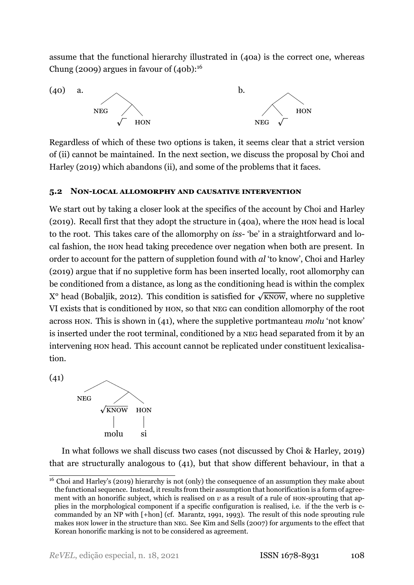assume that the functional hierarchy illustrated in (40a) is the correct one, whereas [Chung](#page-39-13) ([2009](#page-39-13)) argues in favour of (40b): $16$ 



Regardless of which of these two options is taken, it seems clear that a strict version of (ii) cannot be maintained. In the next section, we discuss the proposal by [Choi and](#page-39-14) [Harley](#page-39-14) ([2019\)](#page-39-14) which abandons (ii), and some of the problems that it faces.

# **5.2 NONLOCAL ALLOMORPHY AND CAUSATIVE INTERVENTION**

We start out by taking a closer look at the specifics of the account by [Choi and Harley](#page-39-14) [\(2019](#page-39-14)). Recall first that they adopt the structure in (40a), where the HON head is local to the root. This takes care of the allomorphy on *iss*- 'be' in a straightforward and local fashion, the HON head taking precedence over negation when both are present. In order to account for the pattern of suppletion found with *al* 'to know', [Choi and Harley](#page-39-14) [\(2019](#page-39-14)) argue that if no suppletive form has been inserted locally, root allomorphy can be conditioned from a distance, as long as the conditioning head is within the complex X<sup>o</sup> head [\(Bobaljik](#page-39-2), [2012\)](#page-39-2). This condition is satisfied for √KNOW, where no suppletive VI exists that is conditioned by HON, so that NEG can condition allomorphy of the root across HON. This is shown in (41), where the suppletive portmanteau *molu* 'not know' is inserted under the root terminal, conditioned by a NEG head separated from it by an intervening HON head. This account cannot be replicated under constituent lexicalisation.

 $(41)$ 



In what follows we shall discuss two cases (not discussed by Choi & Harley, [2019\)](#page-39-14) that are structurally analogous to (41), but that show different behaviour, in that a

<sup>&</sup>lt;sup>16</sup> Choi and Harley's [\(2019](#page-39-14)) hierarchy is not (only) the consequence of an assumption they make about the functional sequence. Instead, it results from their assumption that honorification is a form of agreement with an honorific subject, which is realised on  $v$  as a result of a rule of HON-sprouting that applies in the morphological component if a specific configuration is realised, i.e. if the the verb is ccommanded by an NP with [+hon] (cf. [Marantz](#page-40-13), [1991,](#page-40-13) [1993\)](#page-40-14). The result of this node sprouting rule makes HON lower in the structure than NEG. See [Kim and Sells](#page-40-15) [\(2007](#page-40-15)) for arguments to the effect that Korean honorific marking is not to be considered as agreement.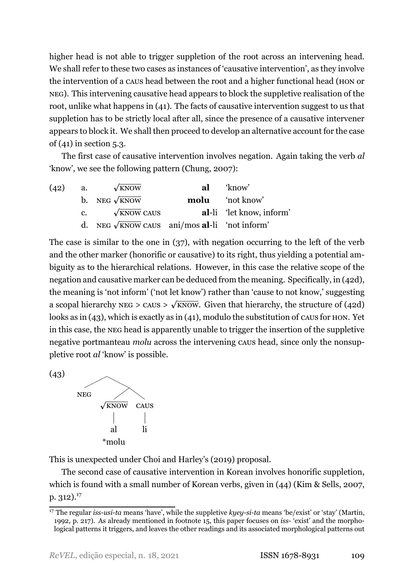higher head is not able to trigger suppletion of the root across an intervening head. We shall refer to these two cases as instances of 'causative intervention', as they involve the intervention of a CAUS head between the root and a higher functional head (HON or NEG). This intervening causative head appears to block the suppletive realisation of the root, unlike what happens in (41). The facts of causative intervention suggest to us that suppletion has to be strictly local after all, since the presence of a causative intervener appears to block it. We shall then proceed to develop an alternative account for the case of (41) in section [5.3.](#page-29-0)

The first case of causative intervention involves negation. Again taking the verb *al* 'know', we see the following pattern [\(Chung,](#page-39-16) [2007](#page-39-16)):

<span id="page-28-1"></span>

| (42) | а. | $\sqrt{k}$ NOW                                        | al | 'know'                          |
|------|----|-------------------------------------------------------|----|---------------------------------|
|      |    | b. NEG $\sqrt{\text{kNow}}$                           |    | <b>molu</b> 'not know'          |
|      | c. | $\sqrt{\text{KNOW}}$ CAUS                             |    | <b>al-li</b> 'let know, inform' |
|      |    | d. NEG $\sqrt{k}$ NOW CAUS ani/mos al-li 'not inform' |    |                                 |

The case is similar to the one in [\(37\),](#page-25-0) with negation occurring to the left of the verb and the other marker (honorific or causative) to its right, thus yielding a potential ambiguity as to the hierarchical relations. However, in this case the relative scope of the negation and causative marker can be deduced from the meaning. Specifically, in (42d), the meaning is 'not inform' ('not let know') rather than 'cause to not know,' suggesting a scopal hierarchy NEG > CAUS >  $\sqrt{\text{kNow}}$ . Given that hierarchy, the structure of (42d) looks as in (43), which is exactly as in (41), modulo the substitution of CAUS for HON. Yet in this case, the NEG head is apparently unable to trigger the insertion of the suppletive negative portmanteau *molu* across the intervening CAUS head, since only the nonsuppletive root *al* 'know' is possible.

<span id="page-28-0"></span>(43)



This is unexpected under Choi and Harley's [\(2019](#page-39-14)) proposal.

The second case of causative intervention in Korean involves honorific suppletion, which is found with a small number of Korean verbs, given in (44) (Kim & Sells, [2007](#page-40-15), p.  $312$ ).<sup>17</sup>

<sup>&</sup>lt;sup>17</sup> The regular *iss-usi-ta* means 'have', while the suppletive  $k_y e_y - si$ -ta means 'be/exist' or 'stay' [\(Martin,](#page-41-14) [1992,](#page-41-14) p. 217). As already mentioned in footnote [15,](#page-25-0) this paper focuses on *iss* 'exist' and the morphological patterns it triggers, and leaves the other readings and its associated morphological patterns out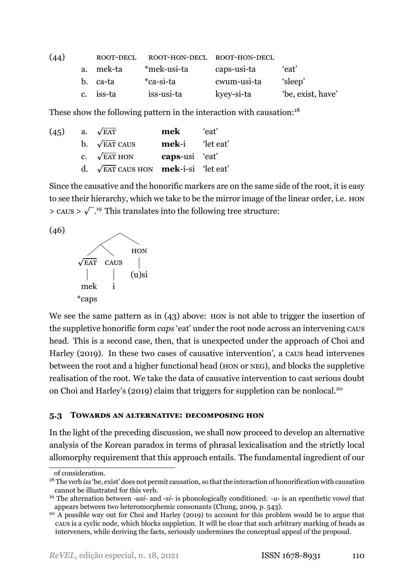| (44) |             | ROOT-DECL | ROOT-HON-DECL ROOT-HON-DECL |             |                   |
|------|-------------|-----------|-----------------------------|-------------|-------------------|
|      | $a_{\cdot}$ | mek-ta    | *mek-usi-ta                 | caps-usi-ta | 'eat'             |
|      |             | b. ca-ta  | *ca-si-ta                   | cwum-usi-ta | 'sleep'           |
|      |             | c. iss-ta | iss-usi-ta                  | kyey-si-ta  | 'be, exist, have' |

These show the following pattern in the interaction with causation: $18$ 

<span id="page-29-1"></span>

| (45) | a. $\sqrt{EAT}$                                     | mek                    | 'eat' |
|------|-----------------------------------------------------|------------------------|-------|
|      | b. $\sqrt{\text{EAT}}$ CAUS                         | <b>mek-i</b> 'let eat' |       |
|      | c. $\sqrt{\text{EAT}}$ HON                          | caps-usi 'eat'         |       |
|      | d. $\sqrt{FAT}$ CAUS HON <b>mek</b> -i-si 'let eat' |                        |       |

Since the causative and the honorific markers are on the same side of the root, it is easy to see their hierarchy, which we take to be the mirror image of the linear order, i.e. HON  $>$  CAUS  $> \sqrt{2}$ .<sup>19</sup> This translates into the following tree structure:





We see the same pattern as in [\(43\)](#page-28-0) above: HON is not able to trigger the insertion of the suppletive honorific form *caps* 'eat' under the root node across an intervening CAUS head. This is a second case, then, that is unexpected under the approach of [Choi and](#page-39-14) [Harley](#page-39-14) [\(2019\)](#page-39-14). In these two cases of causative intervention', a CAUS head intervenes between the root and a higher functional head (HON or NEG), and blocks the suppletive realisation of the root. We take the data of causative intervention to cast serious doubt on Choi and Harley's([2019](#page-39-14)) claim that triggers for suppletion can be nonlocal.20

## <span id="page-29-0"></span>**5.3 TOWARDS AN ALTERNATIVE: DECOMPOSING HON**

In the light of the preceding discussion, we shall now proceed to develop an alternative analysis of the Korean paradox in terms of phrasal lexicalisation and the strictly local allomorphy requirement that this approach entails. The fundamental ingredient of our

of consideration.

<sup>18</sup> The verb *iss* 'be, exist' does not permit causation, so that the interaction of honorification with causation cannot be illustrated for this verb.

<sup>&</sup>lt;sup>19</sup> The alternation between *-usi-* and *-si-* is phonologically conditioned: *-u-* is an epenthetic vowel that appears between two heteromorphemic consonants([Chung](#page-39-13), [2009](#page-39-13), p. 543).

<sup>&</sup>lt;sup>20</sup> A possible way out for [Choi and Harley](#page-39-14) [\(2019\)](#page-39-14) to account for this problem would be to argue that CAUS is a cyclic node, which blocks suppletion. It will be clear that such arbitrary marking of heads as interveners, while deriving the facts, seriously undermines the conceptual appeal of the proposal.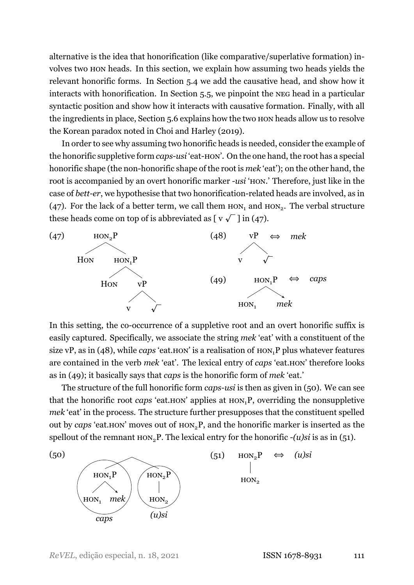alternative is the idea that honorification (like comparative/superlative formation) involves two HON heads. In this section, we explain how assuming two heads yields the relevant honorific forms. In Section [5.4](#page-31-0) we add the causative head, and show how it interacts with honorification. In Section [5.5](#page-33-0), we pinpoint the NEG head in a particular syntactic position and show how it interacts with causative formation. Finally, with all the ingredients in place, Section [5.6](#page-35-0) explains how the two HON heads allow us to resolve the Korean paradox noted in [Choi and Harley](#page-39-14) [\(2019\)](#page-39-14).

In order to see why assuming two honorific heads is needed, consider the example of the honorific suppletive form *caps-usi* 'eat-HON'. On the one hand, the root has a special honorific shape (the non-honorific shape of the root is *mek* 'eat'); on the other hand, the root is accompanied by an overt honorific marker *-usi* 'HON.' Therefore, just like in the case of *bett-er*, we hypothesise that two honorification-related heads are involved, as in (47). For the lack of a better term, we call them  $HON_1$  and  $HON_2$ . The verbal structure these heads come on top of is abbreviated as  $[\sqrt{y} \sqrt{y}]$  in (47).



<span id="page-30-1"></span><span id="page-30-0"></span>In this setting, the co-occurrence of a suppletive root and an overt honorific suffix is easily captured. Specifically, we associate the string *mek* 'eat' with a constituent of the size vP, as in (48), while *caps* 'eat. HON' is a realisation of  $HON<sub>1</sub>P$  plus whatever features are contained in the verb *mek* 'eat'. The lexical entry of *caps* 'eat.HON' therefore looks as in (49); it basically says that *caps* is the honorific form of *mek* 'eat.'

The structure of the full honorific form *caps-usi* is then as given in (50). We can see that the honorific root *caps* 'eat.HON' applies at HON1P, overriding the nonsuppletive *mek* 'eat' in the process. The structure further presupposes that the constituent spelled out by *caps* 'eat. HON' moves out of HON<sub>2</sub>P, and the honorific marker is inserted as the spellout of the remnant  $Hom_2P$ . The lexical entry for the honorific  $-(u)si$  is as in (51).

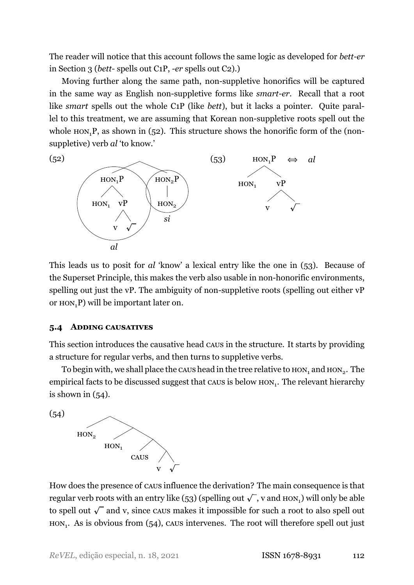The reader will notice that this account follows the same logic as developed for *bett-er* in Section [3](#page-13-0) (*bett* spells out C1P, *er* spells out C2).)

Moving further along the same path, non-suppletive honorifics will be captured in the same way as English non-suppletive forms like *smart-er*. Recall that a root like *smart* spells out the whole C1P (like *bett*), but it lacks a pointer. Quite parallel to this treatment, we are assuming that Korean non-suppletive roots spell out the whole  $Hom_1P$ , as shown in (52). This structure shows the honorific form of the (nonsuppletive) verb *al* 'to know.'



<span id="page-31-1"></span>This leads us to posit for *al* 'know' a lexical entry like the one in (53). Because of the Superset Principle, this makes the verb also usable in non-honorific environments, spelling out just the vP. The ambiguity of non-suppletive roots (spelling out either vP or  $HON<sub>1</sub>P$ ) will be important later on.

## <span id="page-31-0"></span>**5.4 ADDING CAUSATIVES**

This section introduces the causative head CAUS in the structure. It starts by providing a structure for regular verbs, and then turns to suppletive verbs.

To begin with, we shall place the caus head in the tree relative to  $\text{\tt{HON}_1}$  and  $\text{\tt{HON}_2}.$  The empirical facts to be discussed suggest that caus is below  $\text{HON}_1$ . The relevant hierarchy is shown in  $(54)$ .

 $(54)$ 



How does the presence of CAUS influence the derivation? The main consequence is that regular verb roots with an entry like (53) (spelling out  $\sqrt{\phantom{a}}$  , v and  $\text{\rm HON}_1$ ) will only be able to spell out  $\sqrt{\ }$  and v, since caus makes it impossible for such a root to also spell out  $HON<sub>1</sub>$ . As is obvious from (54), caus intervenes. The root will therefore spell out just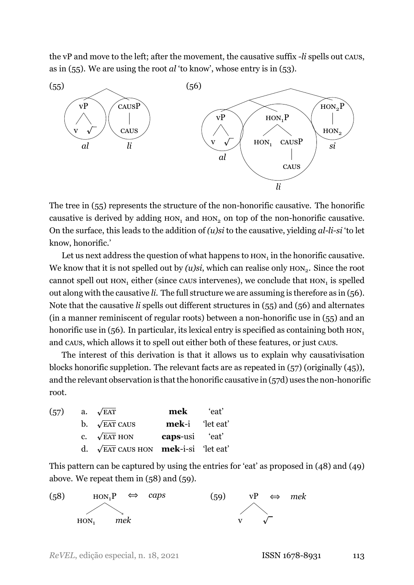the vP and move to the left; after the movement, the causative suffix *li* spells out CAUS, as in (55). We are using the root *al* 'to know', whose entry is in [\(53\).](#page-31-1)

<span id="page-32-0"></span>

<span id="page-32-1"></span>The tree in  $(55)$  represents the structure of the non-honorific causative. The honorific causative is derived by adding  $HON_1$  and  $HON_2$  on top of the non-honorific causative. On the surface, this leads to the addition of *(u)si* to the causative, yielding *al-li-si* 'to let know, honorific.'

Let us next address the question of what happens to  $\text{\sc hor}_1$  in the honorific causative. We know that it is not spelled out by  $(u)$ *si*, which can realise only  $\text{HON}_2$ . Since the root cannot spell out  $\text{HON}_1$  either (since caus intervenes), we conclude that  $\text{HON}_1$  is spelled out along with the causative *li*. The full structure we are assuming is therefore as in (56). Note that the causative *li* spells out different structures in (55) and (56) and alternates (in a manner reminiscent of regular roots) between a non-honorific use in  $(55)$  and an honorific use in  $(56)$ . In particular, its lexical entry is specified as containing both  $HON<sub>1</sub>$ and CAUS, which allows it to spell out either both of these features, or just CAUS.

The interest of this derivation is that it allows us to explain why causativisation blocks honorific suppletion. The relevant facts are as repeated in (57) (originally [\(45\)\)](#page-29-1), and the relevant observation is that the honorific causative in  $(57d)$  uses the non-honorific root.

| (57) | a. $\sqrt{EAT}$                                            | mek                   | `eat' |
|------|------------------------------------------------------------|-----------------------|-------|
|      | b. $\sqrt{\text{EAT}}$ CAUS                                | <b>mek-i</b> let eat' |       |
|      | c. $\sqrt{\text{EAT}}$ HON                                 | caps-usi 'eat'        |       |
|      | d. $\sqrt{\text{EAT}}$ CAUS HON <b>mek</b> -i-si 'let eat' |                       |       |

This pattern can be captured by using the entries for 'eat' as proposed in [\(48\)](#page-30-0) and [\(49\)](#page-30-1) above. We repeat them in (58) and (59).

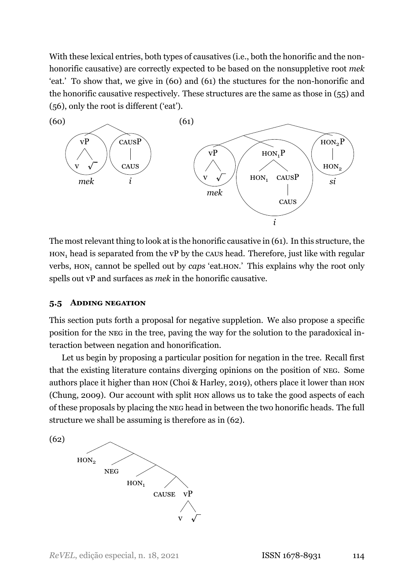With these lexical entries, both types of causatives (i.e., both the honorific and the nonhonorific causative) are correctly expected to be based on the nonsuppletive root *mek* 'eat.' To show that, we give in  $(60)$  and  $(61)$  the stuctures for the non-honorific and the honorific causative respectively. These structures are the same as those in [\(55\)](#page-32-0) and [\(56\),](#page-32-1) only the root is different ('eat').



The most relevant thing to look at is the honorific causative in (61). In this structure, the  $HON<sub>1</sub>$  head is separated from the vP by the caus head. Therefore, just like with regular verbs, HON<sub>1</sub> cannot be spelled out by *caps* 'eat.HON.' This explains why the root only spells out vP and surfaces as *mek* in the honorific causative.

#### <span id="page-33-0"></span>**5.5 ADDING NEGATION**

This section puts forth a proposal for negative suppletion. We also propose a specific position for the NEG in the tree, paving the way for the solution to the paradoxical interaction between negation and honorification.

Let us begin by proposing a particular position for negation in the tree. Recall first that the existing literature contains diverging opinions on the position of NEG. Some authors place it higher than HON (Choi & Harley, [2019](#page-39-14)), others place it lower than HON [\(Chung](#page-39-13), [2009\)](#page-39-13). Our account with split HON allows us to take the good aspects of each of these proposals by placing the NEG head in between the two honorific heads. The full structure we shall be assuming is therefore as in (62).

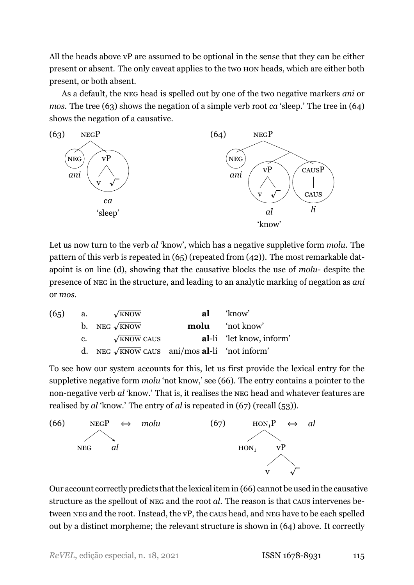All the heads above vP are assumed to be optional in the sense that they can be either present or absent. The only caveat applies to the two HON heads, which are either both present, or both absent.

As a default, the NEG head is spelled out by one of the two negative markers *ani* or *mos.* The tree (63) shows the negation of a simple verb root *ca* 'sleep.' The tree in (64) shows the negation of a causative.



<span id="page-34-1"></span>Let us now turn to the verb *al* 'know', which has a negative suppletive form *molu*. The pattern of this verb is repeated in (65) (repeated from [\(42\)](#page-28-1)). The most remarkable datapoint is on line (d), showing that the causative blocks the use of *molu*-despite the presence of NEG in the structure, and leading to an analytic marking of negation as *ani* or *mos*.

| (65)                                    | a. $\sqrt{\text{kNow}}$            | al $\text{know}$ |
|-----------------------------------------|------------------------------------|------------------|
| b. NEG $\sqrt{\text{kNow}}$             | molu $\text{not know}$             |                  |
| c. $\sqrt{\text{kNow}} \text{CAUS}$     | al-li $\text{let know, inform'}$   |                  |
| d. NEG $\sqrt{\text{kNow}} \text{CAUS}$ | ani/mos al-li $\text{not inform'}$ |                  |

To see how our system accounts for this, let us first provide the lexical entry for the suppletive negative form *molu* 'not know,' see (66). The entry contains a pointer to the non-negative verb *al* 'know.' That is, it realises the NEG head and whatever features are realised by *al* 'know.' The entry of *al* is repeated in (67) (recall [\(53\)](#page-31-1)).

<span id="page-34-0"></span>

<span id="page-34-2"></span>Our account correctly predicts that the lexical item in [\(66\)](#page-34-0) cannot be used in the causative structure as the spellout of NEG and the root *al*. The reason is that CAUS intervenes between NEG and the root. Instead, the vP, the CAUS head, and NEG have to be each spelled out by a distinct morpheme; the relevant structure is shown in [\(64\)](#page-34-1) above. It correctly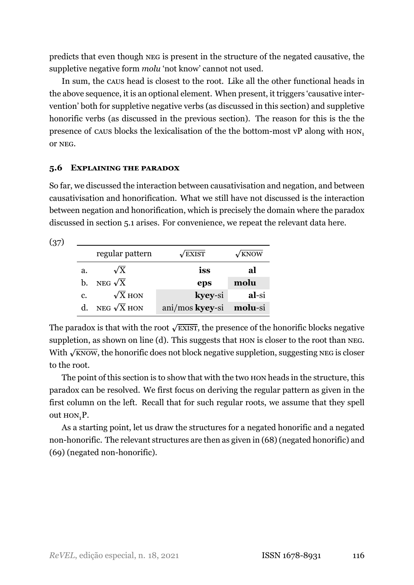predicts that even though NEG is present in the structure of the negated causative, the suppletive negative form *molu* 'not know' cannot not used.

In sum, the CAUS head is closest to the root. Like all the other functional heads in the above sequence, it is an optional element. When present, it triggers 'causative intervention' both for suppletive negative verbs (as discussed in this section) and suppletive honorific verbs (as discussed in the previous section). The reason for this is the the presence of caus blocks the lexicalisation of the the bottom-most vP along with  $HON<sub>1</sub>$ or NEG.

# <span id="page-35-0"></span>**5.6 EXPLAINING THE PARADOX**

So far, we discussed the interaction between causativisation and negation, and between causativisation and honorification. What we still have not discussed is the interaction between negation and honorification, which is precisely the domain where the paradox discussed in section [5.1](#page-25-1) arises. For convenience, we repeat the relevant data here.

 $(37)$ 

|             | regular pattern    | $\sqrt{\text{EXIST}}$   | $\sqrt{k}$ NOW |
|-------------|--------------------|-------------------------|----------------|
| a.          | $\sqrt{X}$         | iss                     | al             |
| b.          | NEG $\sqrt{X}$     | eps                     | molu           |
| c.          | $\sqrt{X}$ HON     | kyey-si                 | al-si          |
| $d_{\cdot}$ | NEG $\sqrt{X}$ HON | ani/mos kyey-si molu-si |                |

The paradox is that with the root  $\sqrt{\text{exisr}}$ , the presence of the honorific blocks negative suppletion, as shown on line (d). This suggests that HON is closer to the root than NEG. With  $\sqrt{\text{know}}$ , the honorific does not block negative suppletion, suggesting NEG is closer to the root.

The point of this section is to show that with the two HON heads in the structure, this paradox can be resolved. We first focus on deriving the regular pattern as given in the first column on the left. Recall that for such regular roots, we assume that they spell out HON<sub>1</sub>P.

As a starting point, let us draw the structures for a negated honorific and a negated non-honorific. The relevant structures are then as given in (68) (negated honorific) and  $(69)$  (negated non-honorific).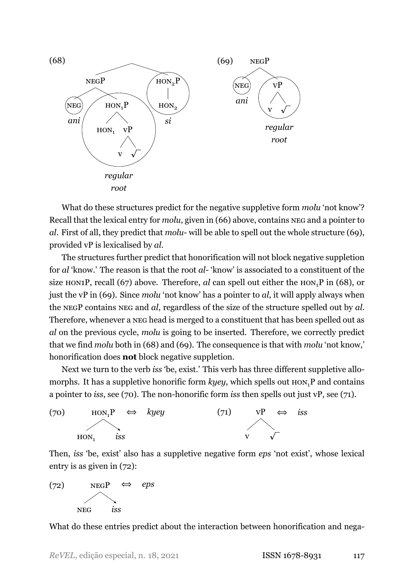

What do these structures predict for the negative suppletive form *molu* 'not know'? Recall that the lexical entry for *molu*, given in [\(66\)](#page-34-0) above, contains NEG and a pointer to *al*. First of all, they predict that *molu*-will be able to spell out the whole structure (69), provided vP is lexicalised by *al*.

The structures further predict that honorification will not block negative suppletion for *al* 'know.' The reason is that the root *al*- 'know' is associated to a constituent of the size HON1P, recall [\(67\)](#page-34-2) above. Therefore, *al* can spell out either the  $HON<sub>1</sub>P$  in (68), or just the vP in (69). Since *molu* 'not know' has a pointer to *al*, it will apply always when the NEGP contains NEG and *al*, regardless of the size of the structure spelled out by *al*. Therefore, whenever a NEG head is merged to a constituent that has been spelled out as *al* on the previous cycle, *molu* is going to be inserted. Therefore, we correctly predict that we find *molu* both in (68) and (69). The consequence is that with *molu* 'not know,' honorification does **not** block negative suppletion.

Next we turn to the verb *iss* 'be, exist.' This verb has three different suppletive allomorphs. It has a suppletive honorific form  $key$ , which spells out  $Hom_1P$  and contains a pointer to *iss*, see (70). The non-honorific form *iss* then spells out just vP, see (71).



Then, *iss* 'be, exist' also has a suppletive negative form *eps* 'not exist', whose lexical entry is as given in (72):



What do these entries predict about the interaction between honorification and nega-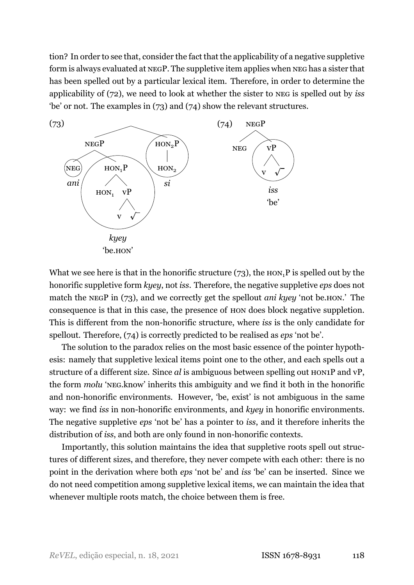tion? In order to see that, consider the fact that the applicability of a negative suppletive form is always evaluated at NEGP. The suppletive item applies when NEG has a sister that has been spelled out by a particular lexical item. Therefore, in order to determine the applicability of (72), we need to look at whether the sister to NEG is spelled out by *iss* 'be' or not. The examples in (73) and (74) show the relevant structures.



What we see here is that in the honorific structure  $(73)$ , the  $HON<sub>1</sub>P$  is spelled out by the honorific suppletive form *kyey*, not *iss*. Therefore, the negative suppletive *eps* does not match the NEGP in (73), and we correctly get the spellout *ani kyey* 'not be. HON.' The consequence is that in this case, the presence of HON does block negative suppletion. This is different from the non-honorific structure, where *iss* is the only candidate for spellout. Therefore, (74) is correctly predicted to be realised as *eps* 'not be'.

The solution to the paradox relies on the most basic essence of the pointer hypothesis: namely that suppletive lexical items point one to the other, and each spells out a structure of a different size. Since *al* is ambiguous between spelling out HON1P and vP, the form *molu* 'NEG.know' inherits this ambiguity and we find it both in the honorific and non-honorific environments. However, 'be, exist' is not ambiguous in the same way: we find *iss* in non-honorific environments, and *kyey* in honorific environments. The negative suppletive *eps* 'not be' has a pointer to *iss*, and it therefore inherits the distribution of *iss*, and both are only found in non-honorific contexts.

Importantly, this solution maintains the idea that suppletive roots spell out structures of different sizes, and therefore, they never compete with each other: there is no point in the derivation where both *eps* 'not be' and *iss* 'be' can be inserted. Since we do not need competition among suppletive lexical items, we can maintain the idea that whenever multiple roots match, the choice between them is free.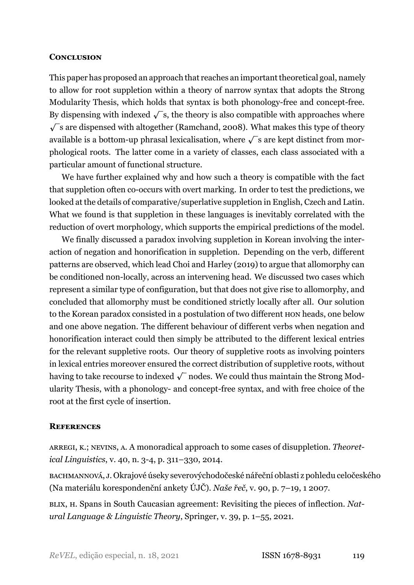### **CONCLUSION**

This paper has proposed an approach that reaches an important theoretical goal, namely to allow for root suppletion within a theory of narrow syntax that adopts the Strong Modularity Thesis, which holds that syntax is both phonology-free and concept-free. By dispensing with indexed  $\sqrt{\ }$ s, the theory is also compatible with approaches where  $\sqrt{s}$ are dispensed with altogether ([Ramchand](#page-41-6), [2008\)](#page-41-6). What makes this type of theory available is a bottom-up phrasal lexicalisation, where  $\sqrt{\ }$ s are kept distinct from morphological roots. The latter come in a variety of classes, each class associated with a particular amount of functional structure.

We have further explained why and how such a theory is compatible with the fact that suppletion often co-occurs with overt marking. In order to test the predictions, we looked at the details of comparative/superlative suppletion in English, Czech and Latin. What we found is that suppletion in these languages is inevitably correlated with the reduction of overt morphology, which supports the empirical predictions of the model.

We finally discussed a paradox involving suppletion in Korean involving the interaction of negation and honorification in suppletion. Depending on the verb, different patterns are observed, which lead [Choi and Harley](#page-39-14) ([2019\)](#page-39-14) to argue that allomorphy can be conditioned non-locally, across an intervening head. We discussed two cases which represent a similar type of configuration, but that does not give rise to allomorphy, and concluded that allomorphy must be conditioned strictly locally after all. Our solution to the Korean paradox consisted in a postulation of two different HON heads, one below and one above negation. The different behaviour of different verbs when negation and honorification interact could then simply be attributed to the different lexical entries for the relevant suppletive roots. Our theory of suppletive roots as involving pointers in lexical entries moreover ensured the correct distribution of suppletive roots, without having to take recourse to indexed  $\sqrt{\ }$  nodes. We could thus maintain the Strong Modularity Thesis, with a phonology- and concept-free syntax, and with free choice of the root at the first cycle of insertion.

## **REFERENCES**

<span id="page-38-0"></span>ARREGI, K.; NEVINS, A. A monoradical approach to some cases of disuppletion. *Theoretical Linguistics*, v. 40, n. 3-4, p. 311-330, 2014.

<span id="page-38-2"></span>BACHMANNOVÁ, J. Okrajové úseky severovýchodočeské nářeční oblasti z pohledu celočeského (Na materiálu korespondenční ankety ÚJČ). *Naše řeč*, v. 90, p. 7–19, 1 2007.

<span id="page-38-1"></span>BLIX, H. Spans in South Caucasian agreement: Revisiting the pieces of inflection. *Natural Language & Linguistic Theory*, Springer, v. 39, p. 1–55, 2021.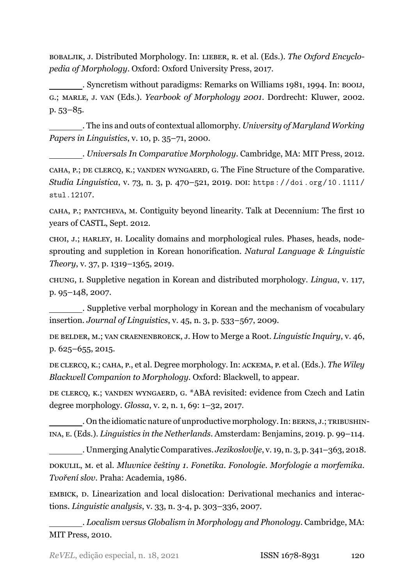<span id="page-39-15"></span>BOBALJIK, J. Distributed Morphology. In: LIEBER, R. et al. (Eds.). *The Oxford Encyclopedia of Morphology*. Oxford: Oxford University Press, 2017.

<span id="page-39-5"></span>. Syncretism without paradigms: Remarks on Williams 1981, 1994. In: BOOIJ, G.; MARLE, J. VAN (Eds.). *Yearbook of Morphology 2001*. Dordrecht: Kluwer, 2002. p. 53–85.

<span id="page-39-4"></span>. The ins and outs of contextual allomorphy. *University of Maryland Working Papers in Linguistics*, v. 10, p. 35–71, 2000.

<span id="page-39-7"></span><span id="page-39-2"></span>. *Universals In Comparative Morphology*. Cambridge, MA: MIT Press, 2012. CAHA, P.; DE CLERCQ, K.; VANDEN WYNGAERD, G. The Fine Structure of the Comparative. *Studia Linguistica*, v. 73, n. 3, p. 470–521, 2019. DOI: [https://doi.org/10.1111/](https://doi.org/https://doi.org/10.1111/stul.12107) [stul.12107](https://doi.org/https://doi.org/10.1111/stul.12107).

<span id="page-39-8"></span>CAHA, P.; PANTCHEVA, M. Contiguity beyond linearity. Talk at Decennium: The first 10 years of CASTL, Sept. 2012.

<span id="page-39-14"></span>CHOI, J.; HARLEY, H. Locality domains and morphological rules. Phases, heads, nodesprouting and suppletion in Korean honorification. *Natural Language & Linguistic Theory*, v. 37, p. 1319–1365, 2019.

<span id="page-39-16"></span>CHUNG, I. Suppletive negation in Korean and distributed morphology. *Lingua*, v. 117, p. 95–148, 2007.

<span id="page-39-13"></span>. Suppletive verbal morphology in Korean and the mechanism of vocabulary insertion. *Journal of Linguistics*, v. 45, n. 3, p. 533–567, 2009.

<span id="page-39-1"></span>DE BELDER, M.; VAN CRAENENBROECK, J. How to Merge a Root. *Linguistic Inquiry*, v. 46, p. 625–655, 2015.

<span id="page-39-3"></span>DE CLERCQ, K.; CAHA, P., et al. Degree morphology. In: ACKEMA, P. et al. (Eds.). *The Wiley Blackwell Companion to Morphology*. Oxford: Blackwell, to appear.

<span id="page-39-12"></span>DE CLERCQ, K.; VANDEN WYNGAERD, G. \*ABA revisited: evidence from Czech and Latin degree morphology. *Glossa*, v. 2, n. 1, 69: 1–32, 2017.

<span id="page-39-9"></span>. On the idiomatic nature of unproductive morphology. In: BERNS, J.; TRIBUSHIN-INA, E. (Eds.). *Linguistics in the Netherlands*. Amsterdam: Benjamins, 2019. p. 99–114.

<span id="page-39-11"></span><span id="page-39-10"></span>. Unmerging Analytic Comparatives. *Jezikoslovlje*, v. 19, n. 3, p. 341–363, 2018. DOKULIL, M. et al. *Mluvnice češtiny 1. Fonetika. Fonologie. Morfologie a morfemika. Tvoření slov*. Praha: Academia, 1986.

<span id="page-39-0"></span>EMBICK, D. Linearization and local dislocation: Derivational mechanics and interactions. *Linguistic analysis*, v. 33, n. 34, p. 303–336, 2007.

<span id="page-39-6"></span>. *Localism versus Globalism in Morphology and Phonology*. Cambridge, MA: MIT Press, 2010.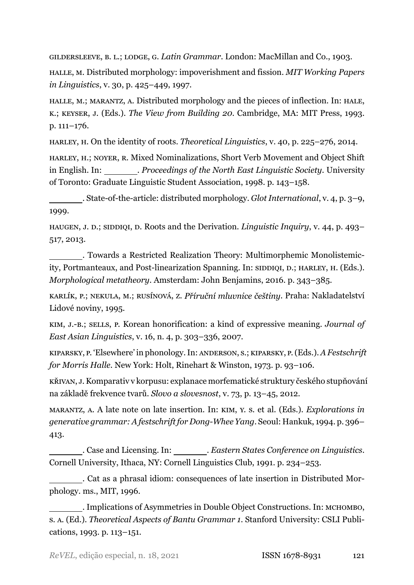<span id="page-40-12"></span>GILDERSLEEVE, B. L.; LODGE, G. *Latin Grammar*. London: MacMillan and Co., 1903.

<span id="page-40-7"></span>HALLE, M. Distributed morphology: impoverishment and fission. *MIT Working Papers in Linguistics*, v. 30, p. 425–449, 1997.

<span id="page-40-0"></span>HALLE, M.; MARANTZ, A. Distributed morphology and the pieces of inflection. In: HALE, K.; KEYSER, J. (Eds.). *The View from Building 20*. Cambridge, MA: MIT Press, 1993. p. 111–176.

<span id="page-40-5"></span>HARLEY, H. On the identity of roots. *Theoretical Linguistics*, v. 40, p. 225–276, 2014.

<span id="page-40-8"></span>HARLEY, H.; NOYER, R. Mixed Nominalizations, Short Verb Movement and Object Shift in English. In: . *Proceedings of the North East Linguistic Society*. University of Toronto: Graduate Linguistic Student Association, 1998. p. 143–158.

<span id="page-40-3"></span>. State-of-the-article: distributed morphology. *Glot International*, v. 4, p. 3–9, 1999.

<span id="page-40-4"></span>HAUGEN, J. D.; SIDDIQI, D. Roots and the Derivation. *Linguistic Inquiry*, v. 44, p. 493– 517, 2013.

<span id="page-40-9"></span>. Towards a Restricted Realization Theory: Multimorphemic Monolistemicity, Portmanteaux, and Post-linearization Spanning. In: SIDDIQI, D.; HARLEY, H. (Eds.). *Morphological metatheory*. Amsterdam: John Benjamins, 2016. p. 343–385.

<span id="page-40-10"></span>KARLÍK, P.; NEKULA, M.; RUSÍNOVÁ, Z. *Příruční mluvnice češtiny*. Praha: Nakladatelství Lidové noviny, 1995.

<span id="page-40-15"></span>KIM, J.B.; SELLS, P. Korean honorification: a kind of expressive meaning. *Journal of East Asian Linguistics*, v. 16, n. 4, p. 303–336, 2007.

<span id="page-40-6"></span>KIPARSKY, P. 'Elsewhere' in phonology. In: ANDERSON, S.; KIPARSKY, P. (Eds.).*A Festschrift for Morris Halle*. New York: Holt, Rinehart & Winston, 1973. p. 93–106.

<span id="page-40-11"></span>KŘIVAN, J. Komparativ v korpusu: explanace morfematické struktury českého stupňování na základě frekvence tvarů. *Slovo a slovesnost*, v. 73, p. 13–45, 2012.

<span id="page-40-1"></span>MARANTZ, A. A late note on late insertion. In: KIM, Y. S. et al. (Eds.). *Explorations in generative grammar: A festschrift for DongWhee Yang*. Seoul: Hankuk, 1994. p. 396– 413.

<span id="page-40-13"></span>. Case and Licensing. In: . *Eastern States Conference on Linguistics*. Cornell University, Ithaca, NY: Cornell Linguistics Club, 1991. p. 234–253.

<span id="page-40-2"></span>. Cat as a phrasal idiom: consequences of late insertion in Distributed Morphology. ms., MIT, 1996.

<span id="page-40-14"></span>. Implications of Asymmetries in Double Object Constructions. In: MCHOMBO, S. A. (Ed.). *Theoretical Aspects of Bantu Grammar 1*. Stanford University: CSLI Publications, 1993. p. 113–151.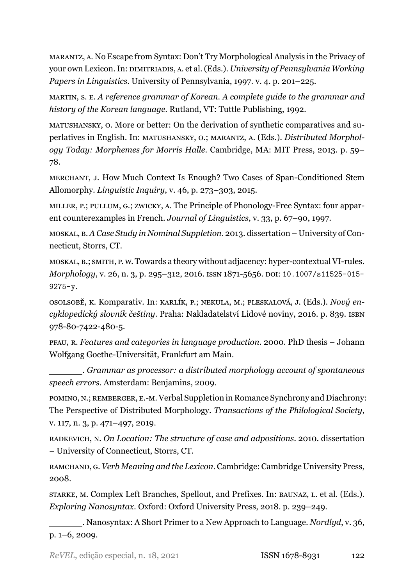<span id="page-41-5"></span>MARANTZ, A. No Escape from Syntax: Don't Try Morphological Analysis in the Privacy of your own Lexicon. In: DIMITRIADIS, A. et al. (Eds.). *University of Pennsylvania Working Papers in Linguistics*. University of Pennsylvania, 1997. v. 4. p. 201–225.

<span id="page-41-14"></span>MARTIN, S. E. *A reference grammar of Korean. A complete guide to the grammar and history of the Korean language*. Rutland, VT: Tuttle Publishing, 1992.

<span id="page-41-10"></span>MATUSHANSKY, O. More or better: On the derivation of synthetic comparatives and superlatives in English. In: MATUSHANSKY, O.; MARANTZ, A. (Eds.). *Distributed Morphology Today: Morphemes for Morris Halle*. Cambridge, MA: MIT Press, 2013. p. 59– 78.

<span id="page-41-8"></span>MERCHANT, J. How Much Context Is Enough? Two Cases of Span-Conditioned Stem Allomorphy. *Linguistic Inquiry*, v. 46, p. 273–303, 2015.

<span id="page-41-0"></span>MILLER, P.; PULLUM, G.; ZWICKY, A. The Principle of Phonology-Free Syntax: four apparent counterexamples in French. *Journal of Linguistics*, v. 33, p. 67–90, 1997.

<span id="page-41-13"></span>MOSKAL, B. *A Case Study in Nominal Suppletion*. 2013. dissertation – University of Connecticut, Storrs, CT.

<span id="page-41-9"></span>MOSKAL, B.; SMITH, P. W. Towards a theory without adjacency: hyper-contextual VI-rules. *Morphology*, v. 26, n. 3, p. 295-312, 2016. ISSN 1871-5656. DOI: [10.1007/s11525-015-](https://doi.org/10.1007/s11525-015-9275-y) [9275-y](https://doi.org/10.1007/s11525-015-9275-y).

<span id="page-41-11"></span>OSOLSOBĚ, K. Komparativ. In: KARLÍK, P.; NEKULA, M.; PLESKALOVÁ, J. (Eds.). *Nový encyklopedický slovník češtiny*. Praha: Nakladatelství Lidové noviny, 2016. p. 839. ISBN 978-80-7422-480-5.

<span id="page-41-1"></span>PFAU, R. *Features and categories in language production*. 2000. PhD thesis – Johann Wolfgang Goethe-Universität, Frankfurt am Main.

<span id="page-41-2"></span>. *Grammar as processor: a distributed morphology account of spontaneous speech errors*. Amsterdam: Benjamins, 2009.

<span id="page-41-12"></span>POMINO, N.; REMBERGER, E.-M. Verbal Suppletion in Romance Synchrony and Diachrony: The Perspective of Distributed Morphology. *Transactions of the Philological Society*, v. 117, n. 3, p. 471–497, 2019.

<span id="page-41-7"></span>RADKEVICH, N. *On Location: The structure of case and adpositions*. 2010. dissertation – University of Connecticut, Storrs, CT.

<span id="page-41-6"></span>RAMCHAND, G. *Verb Meaning and the Lexicon*. Cambridge: Cambridge University Press, 2008.

<span id="page-41-4"></span>STARKE, M. Complex Left Branches, Spellout, and Prefixes. In: BAUNAZ, L. et al. (Eds.). *Exploring Nanosyntax*. Oxford: Oxford University Press, 2018. p. 239–249.

<span id="page-41-3"></span>. Nanosyntax: A Short Primer to a New Approach to Language. *Nordlyd*, v. 36, p. 1–6, 2009.